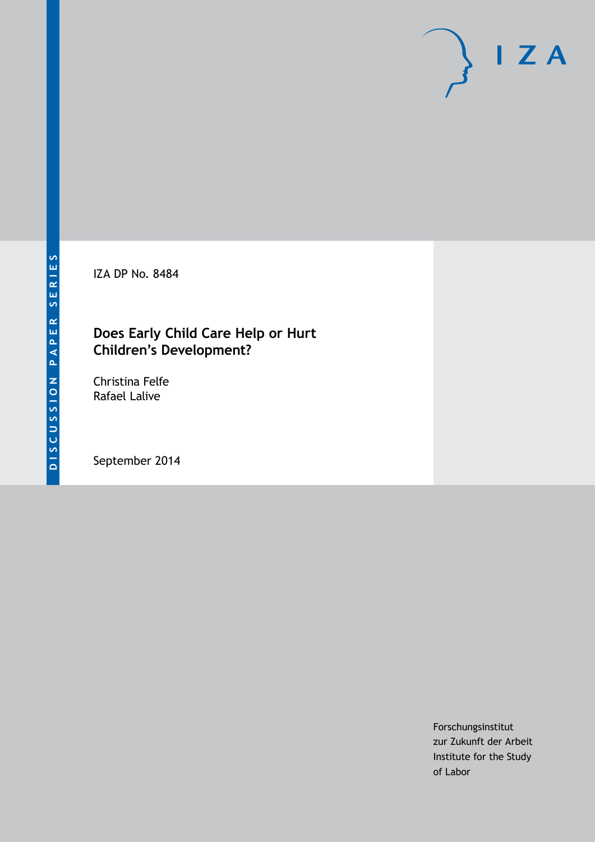IZA DP No. 8484

# **Does Early Child Care Help or Hurt Children's Development?**

Christina Felfe Rafael Lalive

September 2014

Forschungsinstitut zur Zukunft der Arbeit Institute for the Study of Labor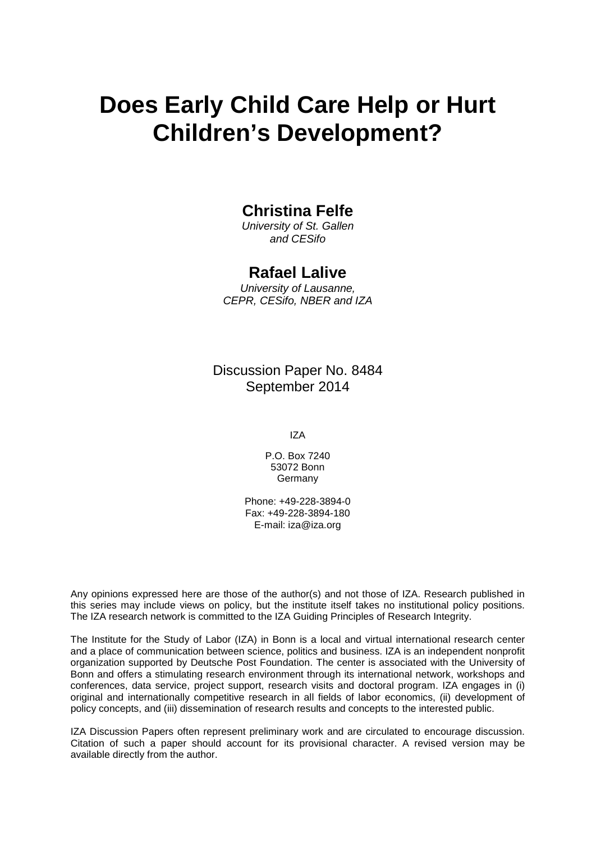# **Does Early Child Care Help or Hurt Children's Development?**

# **Christina Felfe**

*University of St. Gallen and CESifo*

# **Rafael Lalive**

*University of Lausanne, CEPR, CESifo, NBER and IZA*

Discussion Paper No. 8484 September 2014

IZA

P.O. Box 7240 53072 Bonn **Germany** 

Phone: +49-228-3894-0 Fax: +49-228-3894-180 E-mail: [iza@iza.org](mailto:iza@iza.org)

Any opinions expressed here are those of the author(s) and not those of IZA. Research published in this series may include views on policy, but the institute itself takes no institutional policy positions. The IZA research network is committed to the IZA Guiding Principles of Research Integrity.

The Institute for the Study of Labor (IZA) in Bonn is a local and virtual international research center and a place of communication between science, politics and business. IZA is an independent nonprofit organization supported by Deutsche Post Foundation. The center is associated with the University of Bonn and offers a stimulating research environment through its international network, workshops and conferences, data service, project support, research visits and doctoral program. IZA engages in (i) original and internationally competitive research in all fields of labor economics, (ii) development of policy concepts, and (iii) dissemination of research results and concepts to the interested public.

IZA Discussion Papers often represent preliminary work and are circulated to encourage discussion. Citation of such a paper should account for its provisional character. A revised version may be available directly from the author.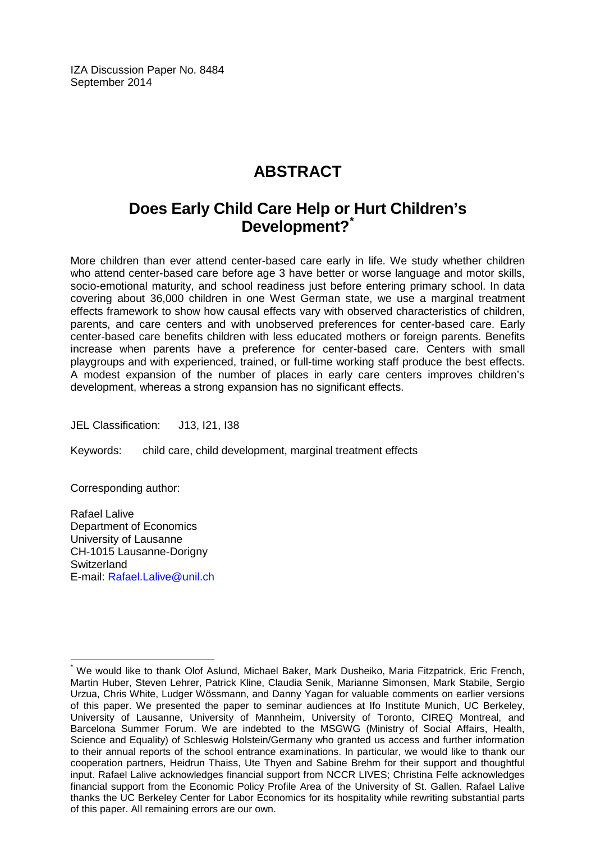IZA Discussion Paper No. 8484 September 2014

# **ABSTRACT**

# **Does Early Child Care Help or Hurt Children's Development?[\\*](#page-2-0)**

More children than ever attend center-based care early in life. We study whether children who attend center-based care before age 3 have better or worse language and motor skills, socio-emotional maturity, and school readiness just before entering primary school. In data covering about 36,000 children in one West German state, we use a marginal treatment effects framework to show how causal effects vary with observed characteristics of children, parents, and care centers and with unobserved preferences for center-based care. Early center-based care benefits children with less educated mothers or foreign parents. Benefits increase when parents have a preference for center-based care. Centers with small playgroups and with experienced, trained, or full-time working staff produce the best effects. A modest expansion of the number of places in early care centers improves children's development, whereas a strong expansion has no significant effects.

JEL Classification: J13, I21, I38

Keywords: child care, child development, marginal treatment effects

Corresponding author:

Rafael Lalive Department of Economics University of Lausanne CH-1015 Lausanne-Dorigny **Switzerland** E-mail: [Rafael.Lalive@unil.ch](mailto:Rafael.Lalive@unil.ch)

<span id="page-2-0"></span>We would like to thank Olof Aslund, Michael Baker, Mark Dusheiko, Maria Fitzpatrick, Eric French, Martin Huber, Steven Lehrer, Patrick Kline, Claudia Senik, Marianne Simonsen, Mark Stabile, Sergio Urzua, Chris White, Ludger Wössmann, and Danny Yagan for valuable comments on earlier versions of this paper. We presented the paper to seminar audiences at Ifo Institute Munich, UC Berkeley, University of Lausanne, University of Mannheim, University of Toronto, CIREQ Montreal, and Barcelona Summer Forum. We are indebted to the MSGWG (Ministry of Social Affairs, Health, Science and Equality) of Schleswig Holstein/Germany who granted us access and further information to their annual reports of the school entrance examinations. In particular, we would like to thank our cooperation partners, Heidrun Thaiss, Ute Thyen and Sabine Brehm for their support and thoughtful input. Rafael Lalive acknowledges financial support from NCCR LIVES; Christina Felfe acknowledges financial support from the Economic Policy Profile Area of the University of St. Gallen. Rafael Lalive thanks the UC Berkeley Center for Labor Economics for its hospitality while rewriting substantial parts of this paper. All remaining errors are our own.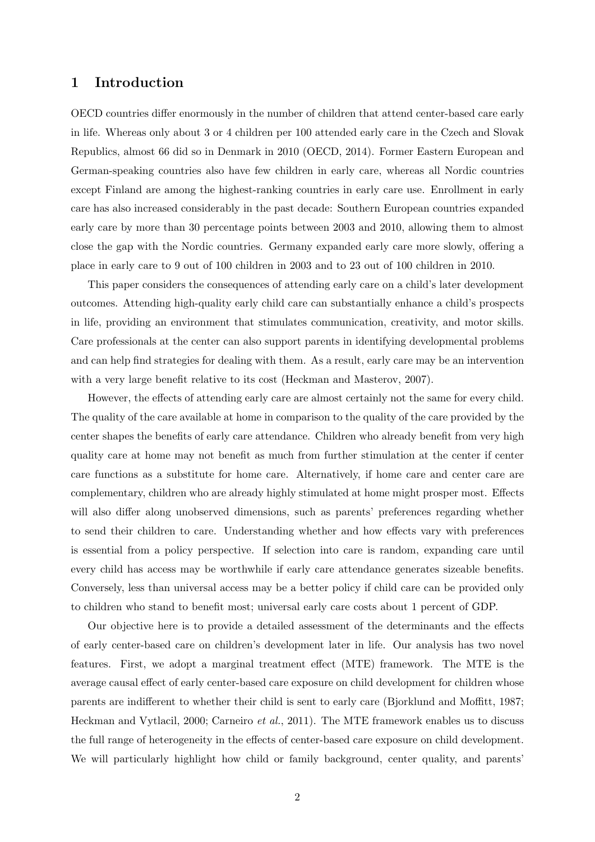### **1 Introduction**

OECD countries differ enormously in the number of children that attend center-based care early in life. Whereas only about 3 or 4 children per 100 attended early care in the Czech and Slovak Republics, almost 66 did so in Denmark in 2010 (OECD, 2014). Former Eastern European and German-speaking countries also have few children in early care, whereas all Nordic countries except Finland are among the highest-ranking countries in early care use. Enrollment in early care has also increased considerably in the past decade: Southern European countries expanded early care by more than 30 percentage points between 2003 and 2010, allowing them to almost close the gap with the Nordic countries. Germany expanded early care more slowly, offering a place in early care to 9 out of 100 children in 2003 and to 23 out of 100 children in 2010.

This paper considers the consequences of attending early care on a child's later development outcomes. Attending high-quality early child care can substantially enhance a child's prospects in life, providing an environment that stimulates communication, creativity, and motor skills. Care professionals at the center can also support parents in identifying developmental problems and can help find strategies for dealing with them. As a result, early care may be an intervention with a very large benefit relative to its cost (Heckman and Masterov, 2007).

However, the effects of attending early care are almost certainly not the same for every child. The quality of the care available at home in comparison to the quality of the care provided by the center shapes the benefits of early care attendance. Children who already benefit from very high quality care at home may not benefit as much from further stimulation at the center if center care functions as a substitute for home care. Alternatively, if home care and center care are complementary, children who are already highly stimulated at home might prosper most. Effects will also differ along unobserved dimensions, such as parents' preferences regarding whether to send their children to care. Understanding whether and how effects vary with preferences is essential from a policy perspective. If selection into care is random, expanding care until every child has access may be worthwhile if early care attendance generates sizeable benefits. Conversely, less than universal access may be a better policy if child care can be provided only to children who stand to benefit most; universal early care costs about 1 percent of GDP.

Our objective here is to provide a detailed assessment of the determinants and the effects of early center-based care on children's development later in life. Our analysis has two novel features. First, we adopt a marginal treatment effect (MTE) framework. The MTE is the average causal effect of early center-based care exposure on child development for children whose parents are indifferent to whether their child is sent to early care (Bjorklund and Moffitt, 1987; Heckman and Vytlacil, 2000; Carneiro *et al.*, 2011). The MTE framework enables us to discuss the full range of heterogeneity in the effects of center-based care exposure on child development. We will particularly highlight how child or family background, center quality, and parents'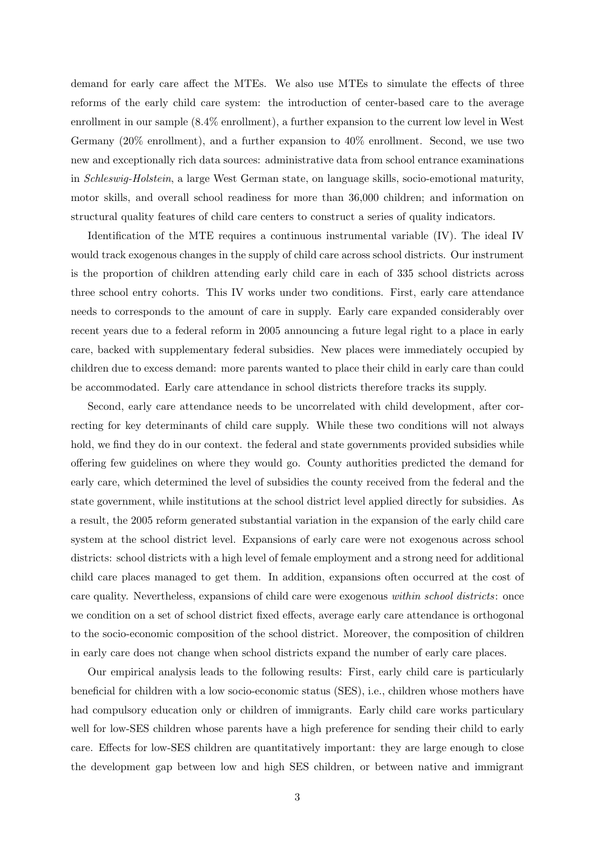demand for early care affect the MTEs. We also use MTEs to simulate the effects of three reforms of the early child care system: the introduction of center-based care to the average enrollment in our sample (8.4% enrollment), a further expansion to the current low level in West Germany (20% enrollment), and a further expansion to 40% enrollment. Second, we use two new and exceptionally rich data sources: administrative data from school entrance examinations in *Schleswig-Holstein*, a large West German state, on language skills, socio-emotional maturity, motor skills, and overall school readiness for more than 36,000 children; and information on structural quality features of child care centers to construct a series of quality indicators.

Identification of the MTE requires a continuous instrumental variable (IV). The ideal IV would track exogenous changes in the supply of child care across school districts. Our instrument is the proportion of children attending early child care in each of 335 school districts across three school entry cohorts. This IV works under two conditions. First, early care attendance needs to corresponds to the amount of care in supply. Early care expanded considerably over recent years due to a federal reform in 2005 announcing a future legal right to a place in early care, backed with supplementary federal subsidies. New places were immediately occupied by children due to excess demand: more parents wanted to place their child in early care than could be accommodated. Early care attendance in school districts therefore tracks its supply.

Second, early care attendance needs to be uncorrelated with child development, after correcting for key determinants of child care supply. While these two conditions will not always hold, we find they do in our context. the federal and state governments provided subsidies while offering few guidelines on where they would go. County authorities predicted the demand for early care, which determined the level of subsidies the county received from the federal and the state government, while institutions at the school district level applied directly for subsidies. As a result, the 2005 reform generated substantial variation in the expansion of the early child care system at the school district level. Expansions of early care were not exogenous across school districts: school districts with a high level of female employment and a strong need for additional child care places managed to get them. In addition, expansions often occurred at the cost of care quality. Nevertheless, expansions of child care were exogenous *within school districts*: once we condition on a set of school district fixed effects, average early care attendance is orthogonal to the socio-economic composition of the school district. Moreover, the composition of children in early care does not change when school districts expand the number of early care places.

Our empirical analysis leads to the following results: First, early child care is particularly beneficial for children with a low socio-economic status (SES), i.e., children whose mothers have had compulsory education only or children of immigrants. Early child care works particulary well for low-SES children whose parents have a high preference for sending their child to early care. Effects for low-SES children are quantitatively important: they are large enough to close the development gap between low and high SES children, or between native and immigrant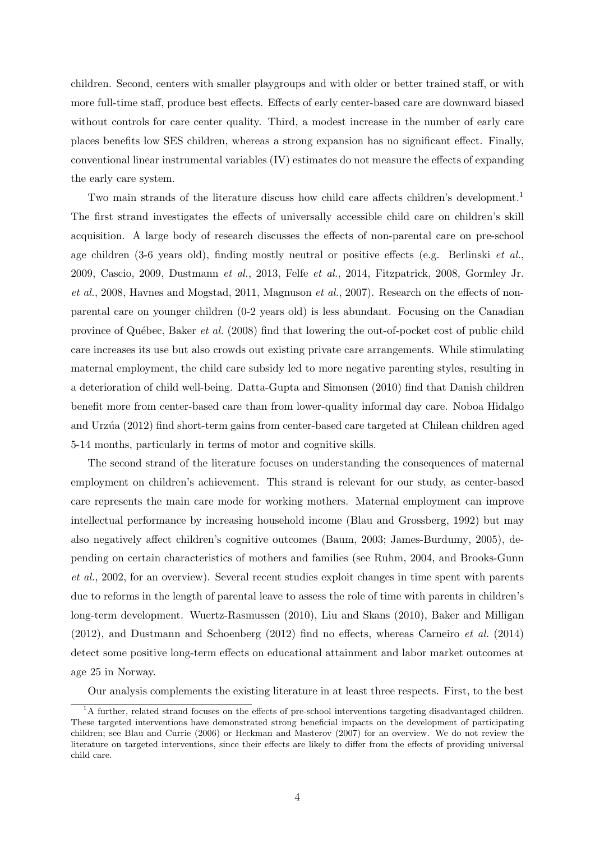children. Second, centers with smaller playgroups and with older or better trained staff, or with more full-time staff, produce best effects. Effects of early center-based care are downward biased without controls for care center quality. Third, a modest increase in the number of early care places benefits low SES children, whereas a strong expansion has no significant effect. Finally, conventional linear instrumental variables (IV) estimates do not measure the effects of expanding the early care system.

Two main strands of the literature discuss how child care affects children's development.<sup>1</sup> The first strand investigates the effects of universally accessible child care on children's skill acquisition. A large body of research discusses the effects of non-parental care on pre-school age children (3-6 years old), finding mostly neutral or positive effects (e.g. Berlinski *et al.*, 2009, Cascio, 2009, Dustmann *et al.*, 2013, Felfe *et al.*, 2014, Fitzpatrick, 2008, Gormley Jr. *et al.*, 2008, Havnes and Mogstad, 2011, Magnuson *et al.*, 2007). Research on the effects of nonparental care on younger children (0-2 years old) is less abundant. Focusing on the Canadian province of Qu´ebec, Baker *et al.* (2008) find that lowering the out-of-pocket cost of public child care increases its use but also crowds out existing private care arrangements. While stimulating maternal employment, the child care subsidy led to more negative parenting styles, resulting in a deterioration of child well-being. Datta-Gupta and Simonsen (2010) find that Danish children benefit more from center-based care than from lower-quality informal day care. Noboa Hidalgo and Urz´ua (2012) find short-term gains from center-based care targeted at Chilean children aged 5-14 months, particularly in terms of motor and cognitive skills.

The second strand of the literature focuses on understanding the consequences of maternal employment on children's achievement. This strand is relevant for our study, as center-based care represents the main care mode for working mothers. Maternal employment can improve intellectual performance by increasing household income (Blau and Grossberg, 1992) but may also negatively affect children's cognitive outcomes (Baum, 2003; James-Burdumy, 2005), depending on certain characteristics of mothers and families (see Ruhm, 2004, and Brooks-Gunn *et al.*, 2002, for an overview). Several recent studies exploit changes in time spent with parents due to reforms in the length of parental leave to assess the role of time with parents in children's long-term development. Wuertz-Rasmussen (2010), Liu and Skans (2010), Baker and Milligan (2012), and Dustmann and Schoenberg (2012) find no effects, whereas Carneiro *et al.* (2014) detect some positive long-term effects on educational attainment and labor market outcomes at age 25 in Norway.

Our analysis complements the existing literature in at least three respects. First, to the best

<sup>&</sup>lt;sup>1</sup>A further, related strand focuses on the effects of pre-school interventions targeting disadvantaged children. These targeted interventions have demonstrated strong beneficial impacts on the development of participating children; see Blau and Currie (2006) or Heckman and Masterov (2007) for an overview. We do not review the literature on targeted interventions, since their effects are likely to differ from the effects of providing universal child care.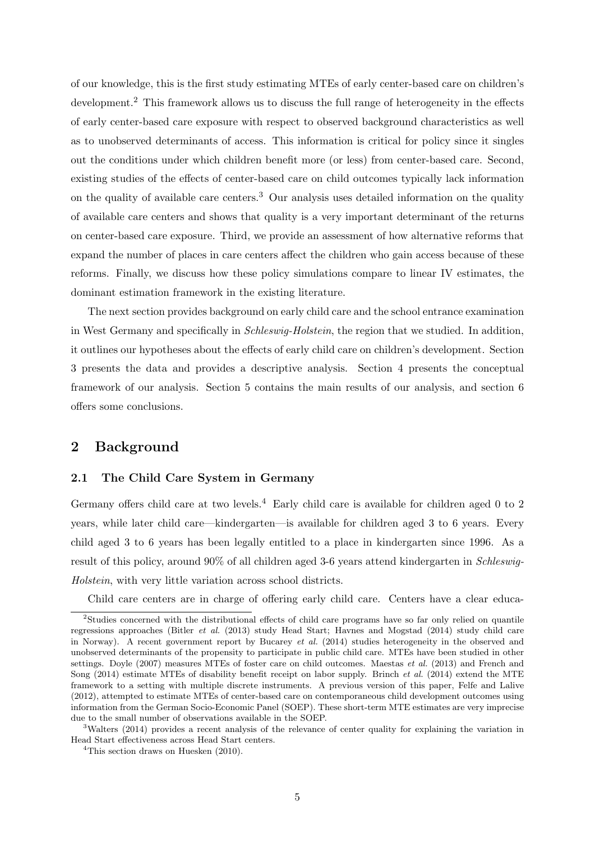of our knowledge, this is the first study estimating MTEs of early center-based care on children's development.<sup>2</sup> This framework allows us to discuss the full range of heterogeneity in the effects of early center-based care exposure with respect to observed background characteristics as well as to unobserved determinants of access. This information is critical for policy since it singles out the conditions under which children benefit more (or less) from center-based care. Second, existing studies of the effects of center-based care on child outcomes typically lack information on the quality of available care centers.<sup>3</sup> Our analysis uses detailed information on the quality of available care centers and shows that quality is a very important determinant of the returns on center-based care exposure. Third, we provide an assessment of how alternative reforms that expand the number of places in care centers affect the children who gain access because of these reforms. Finally, we discuss how these policy simulations compare to linear IV estimates, the dominant estimation framework in the existing literature.

The next section provides background on early child care and the school entrance examination in West Germany and specifically in *Schleswig-Holstein*, the region that we studied. In addition, it outlines our hypotheses about the effects of early child care on children's development. Section 3 presents the data and provides a descriptive analysis. Section 4 presents the conceptual framework of our analysis. Section 5 contains the main results of our analysis, and section 6 offers some conclusions.

# **2 Background**

### **2.1 The Child Care System in Germany**

Germany offers child care at two levels.<sup>4</sup> Early child care is available for children aged 0 to 2 years, while later child care—kindergarten—is available for children aged 3 to 6 years. Every child aged 3 to 6 years has been legally entitled to a place in kindergarten since 1996. As a result of this policy, around 90% of all children aged 3-6 years attend kindergarten in *Schleswig-Holstein*, with very little variation across school districts.

Child care centers are in charge of offering early child care. Centers have a clear educa-

<sup>&</sup>lt;sup>2</sup>Studies concerned with the distributional effects of child care programs have so far only relied on quantile regressions approaches (Bitler *et al.* (2013) study Head Start; Havnes and Mogstad (2014) study child care in Norway). A recent government report by Bucarey *et al.* (2014) studies heterogeneity in the observed and unobserved determinants of the propensity to participate in public child care. MTEs have been studied in other settings. Doyle (2007) measures MTEs of foster care on child outcomes. Maestas *et al.* (2013) and French and Song (2014) estimate MTEs of disability benefit receipt on labor supply. Brinch *et al.* (2014) extend the MTE framework to a setting with multiple discrete instruments. A previous version of this paper, Felfe and Lalive (2012), attempted to estimate MTEs of center-based care on contemporaneous child development outcomes using information from the German Socio-Economic Panel (SOEP). These short-term MTE estimates are very imprecise due to the small number of observations available in the SOEP.

<sup>3</sup>Walters (2014) provides a recent analysis of the relevance of center quality for explaining the variation in Head Start effectiveness across Head Start centers.

<sup>&</sup>lt;sup>4</sup>This section draws on Huesken (2010).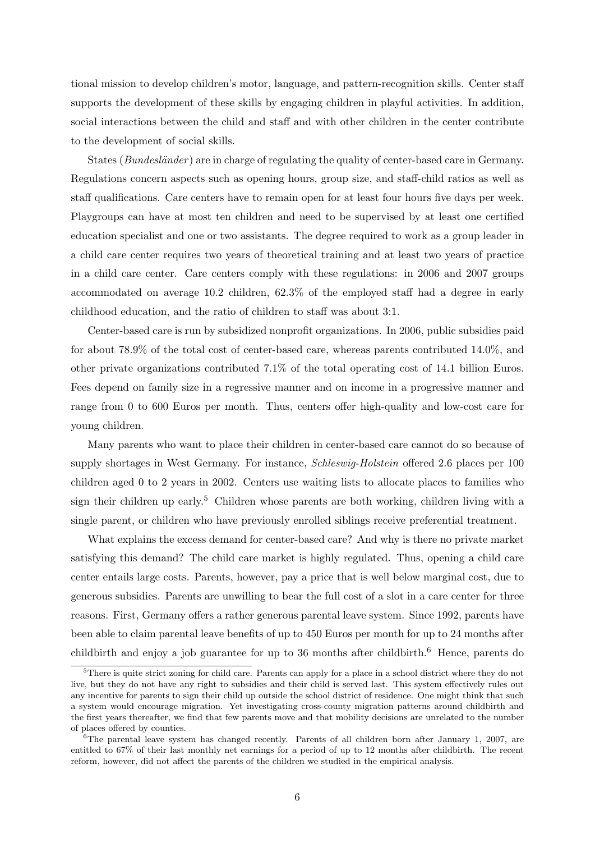tional mission to develop children's motor, language, and pattern-recognition skills. Center staff supports the development of these skills by engaging children in playful activities. In addition, social interactions between the child and staff and with other children in the center contribute to the development of social skills.

States (*Bundesl¨ander* ) are in charge of regulating the quality of center-based care in Germany. Regulations concern aspects such as opening hours, group size, and staff-child ratios as well as staff qualifications. Care centers have to remain open for at least four hours five days per week. Playgroups can have at most ten children and need to be supervised by at least one certified education specialist and one or two assistants. The degree required to work as a group leader in a child care center requires two years of theoretical training and at least two years of practice in a child care center. Care centers comply with these regulations: in 2006 and 2007 groups accommodated on average 10.2 children, 62.3% of the employed staff had a degree in early childhood education, and the ratio of children to staff was about 3:1.

Center-based care is run by subsidized nonprofit organizations. In 2006, public subsidies paid for about 78.9% of the total cost of center-based care, whereas parents contributed 14.0%, and other private organizations contributed 7.1% of the total operating cost of 14.1 billion Euros. Fees depend on family size in a regressive manner and on income in a progressive manner and range from 0 to 600 Euros per month. Thus, centers offer high-quality and low-cost care for young children.

Many parents who want to place their children in center-based care cannot do so because of supply shortages in West Germany. For instance, *Schleswig-Holstein* offered 2.6 places per 100 children aged 0 to 2 years in 2002. Centers use waiting lists to allocate places to families who sign their children up early.<sup>5</sup> Children whose parents are both working, children living with a single parent, or children who have previously enrolled siblings receive preferential treatment.

What explains the excess demand for center-based care? And why is there no private market satisfying this demand? The child care market is highly regulated. Thus, opening a child care center entails large costs. Parents, however, pay a price that is well below marginal cost, due to generous subsidies. Parents are unwilling to bear the full cost of a slot in a care center for three reasons. First, Germany offers a rather generous parental leave system. Since 1992, parents have been able to claim parental leave benefits of up to 450 Euros per month for up to 24 months after childbirth and enjoy a job guarantee for up to 36 months after childbirth.<sup>6</sup> Hence, parents do

<sup>&</sup>lt;sup>5</sup>There is quite strict zoning for child care. Parents can apply for a place in a school district where they do not live, but they do not have any right to subsidies and their child is served last. This system effectively rules out any incentive for parents to sign their child up outside the school district of residence. One might think that such a system would encourage migration. Yet investigating cross-county migration patterns around childbirth and the first years thereafter, we find that few parents move and that mobility decisions are unrelated to the number of places offered by counties.

 $6$ The parental leave system has changed recently. Parents of all children born after January 1, 2007, are entitled to 67% of their last monthly net earnings for a period of up to 12 months after childbirth. The recent reform, however, did not affect the parents of the children we studied in the empirical analysis.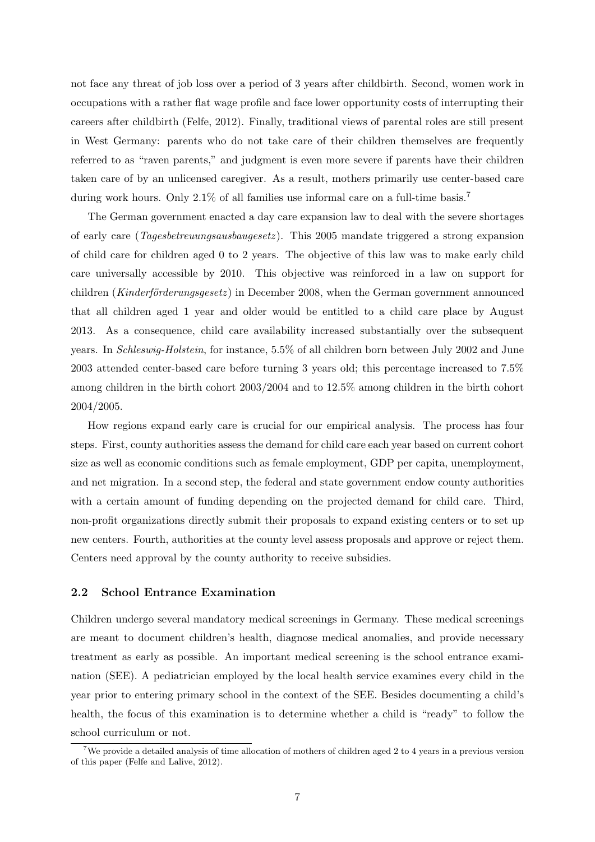not face any threat of job loss over a period of 3 years after childbirth. Second, women work in occupations with a rather flat wage profile and face lower opportunity costs of interrupting their careers after childbirth (Felfe, 2012). Finally, traditional views of parental roles are still present in West Germany: parents who do not take care of their children themselves are frequently referred to as "raven parents," and judgment is even more severe if parents have their children taken care of by an unlicensed caregiver. As a result, mothers primarily use center-based care during work hours. Only 2.1% of all families use informal care on a full-time basis.<sup>7</sup>

The German government enacted a day care expansion law to deal with the severe shortages of early care (*Tagesbetreuungsausbaugesetz* ). This 2005 mandate triggered a strong expansion of child care for children aged 0 to 2 years. The objective of this law was to make early child care universally accessible by 2010. This objective was reinforced in a law on support for children (*Kinderförderungsgesetz*) in December 2008, when the German government announced that all children aged 1 year and older would be entitled to a child care place by August 2013. As a consequence, child care availability increased substantially over the subsequent years. In *Schleswig-Holstein*, for instance, 5.5% of all children born between July 2002 and June 2003 attended center-based care before turning 3 years old; this percentage increased to 7.5% among children in the birth cohort 2003/2004 and to 12.5% among children in the birth cohort 2004/2005.

How regions expand early care is crucial for our empirical analysis. The process has four steps. First, county authorities assess the demand for child care each year based on current cohort size as well as economic conditions such as female employment, GDP per capita, unemployment, and net migration. In a second step, the federal and state government endow county authorities with a certain amount of funding depending on the projected demand for child care. Third, non-profit organizations directly submit their proposals to expand existing centers or to set up new centers. Fourth, authorities at the county level assess proposals and approve or reject them. Centers need approval by the county authority to receive subsidies.

#### **2.2 School Entrance Examination**

Children undergo several mandatory medical screenings in Germany. These medical screenings are meant to document children's health, diagnose medical anomalies, and provide necessary treatment as early as possible. An important medical screening is the school entrance examination (SEE). A pediatrician employed by the local health service examines every child in the year prior to entering primary school in the context of the SEE. Besides documenting a child's health, the focus of this examination is to determine whether a child is "ready" to follow the school curriculum or not.

<sup>&</sup>lt;sup>7</sup>We provide a detailed analysis of time allocation of mothers of children aged 2 to 4 years in a previous version of this paper (Felfe and Lalive, 2012).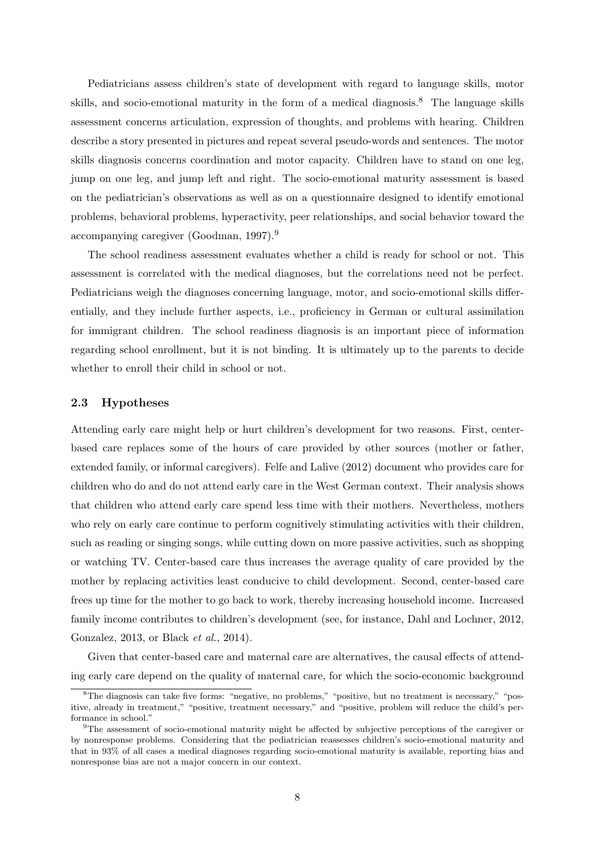Pediatricians assess children's state of development with regard to language skills, motor skills, and socio-emotional maturity in the form of a medical diagnosis.<sup>8</sup> The language skills assessment concerns articulation, expression of thoughts, and problems with hearing. Children describe a story presented in pictures and repeat several pseudo-words and sentences. The motor skills diagnosis concerns coordination and motor capacity. Children have to stand on one leg, jump on one leg, and jump left and right. The socio-emotional maturity assessment is based on the pediatrician's observations as well as on a questionnaire designed to identify emotional problems, behavioral problems, hyperactivity, peer relationships, and social behavior toward the accompanying caregiver (Goodman, 1997).<sup>9</sup>

The school readiness assessment evaluates whether a child is ready for school or not. This assessment is correlated with the medical diagnoses, but the correlations need not be perfect. Pediatricians weigh the diagnoses concerning language, motor, and socio-emotional skills differentially, and they include further aspects, i.e., proficiency in German or cultural assimilation for immigrant children. The school readiness diagnosis is an important piece of information regarding school enrollment, but it is not binding. It is ultimately up to the parents to decide whether to enroll their child in school or not.

#### **2.3 Hypotheses**

Attending early care might help or hurt children's development for two reasons. First, centerbased care replaces some of the hours of care provided by other sources (mother or father, extended family, or informal caregivers). Felfe and Lalive (2012) document who provides care for children who do and do not attend early care in the West German context. Their analysis shows that children who attend early care spend less time with their mothers. Nevertheless, mothers who rely on early care continue to perform cognitively stimulating activities with their children, such as reading or singing songs, while cutting down on more passive activities, such as shopping or watching TV. Center-based care thus increases the average quality of care provided by the mother by replacing activities least conducive to child development. Second, center-based care frees up time for the mother to go back to work, thereby increasing household income. Increased family income contributes to children's development (see, for instance, Dahl and Lochner, 2012, Gonzalez, 2013, or Black *et al.*, 2014).

Given that center-based care and maternal care are alternatives, the causal effects of attending early care depend on the quality of maternal care, for which the socio-economic background

<sup>&</sup>lt;sup>8</sup>The diagnosis can take five forms: "negative, no problems," "positive, but no treatment is necessary," "positive, already in treatment," "positive, treatment necessary," and "positive, problem will reduce the child's performance in school."

<sup>&</sup>lt;sup>9</sup>The assessment of socio-emotional maturity might be affected by subjective perceptions of the caregiver or by nonresponse problems. Considering that the pediatrician reassesses children's socio-emotional maturity and that in 93% of all cases a medical diagnoses regarding socio-emotional maturity is available, reporting bias and nonresponse bias are not a major concern in our context.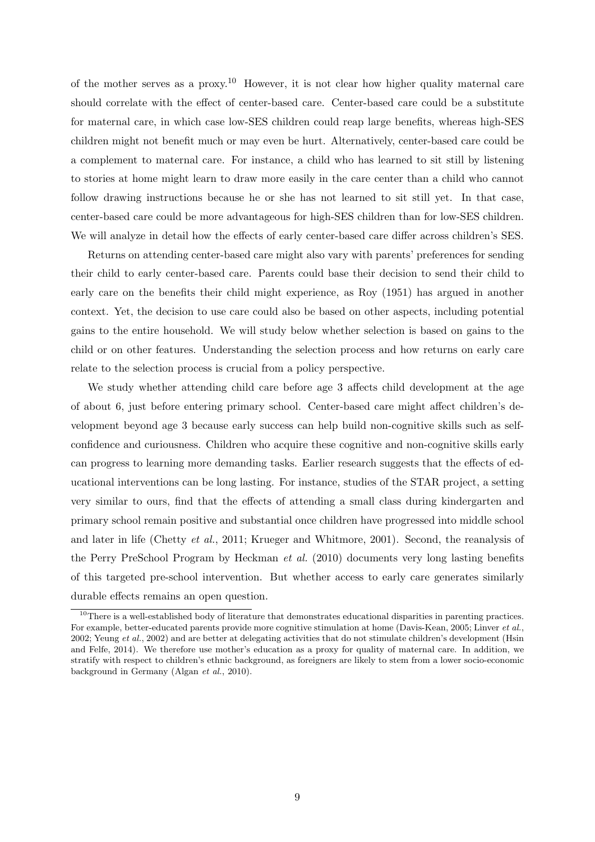of the mother serves as a proxy.<sup>10</sup> However, it is not clear how higher quality maternal care should correlate with the effect of center-based care. Center-based care could be a substitute for maternal care, in which case low-SES children could reap large benefits, whereas high-SES children might not benefit much or may even be hurt. Alternatively, center-based care could be a complement to maternal care. For instance, a child who has learned to sit still by listening to stories at home might learn to draw more easily in the care center than a child who cannot follow drawing instructions because he or she has not learned to sit still yet. In that case, center-based care could be more advantageous for high-SES children than for low-SES children. We will analyze in detail how the effects of early center-based care differ across children's SES.

Returns on attending center-based care might also vary with parents' preferences for sending their child to early center-based care. Parents could base their decision to send their child to early care on the benefits their child might experience, as Roy (1951) has argued in another context. Yet, the decision to use care could also be based on other aspects, including potential gains to the entire household. We will study below whether selection is based on gains to the child or on other features. Understanding the selection process and how returns on early care relate to the selection process is crucial from a policy perspective.

We study whether attending child care before age 3 affects child development at the age of about 6, just before entering primary school. Center-based care might affect children's development beyond age 3 because early success can help build non-cognitive skills such as selfconfidence and curiousness. Children who acquire these cognitive and non-cognitive skills early can progress to learning more demanding tasks. Earlier research suggests that the effects of educational interventions can be long lasting. For instance, studies of the STAR project, a setting very similar to ours, find that the effects of attending a small class during kindergarten and primary school remain positive and substantial once children have progressed into middle school and later in life (Chetty *et al.*, 2011; Krueger and Whitmore, 2001). Second, the reanalysis of the Perry PreSchool Program by Heckman *et al.* (2010) documents very long lasting benefits of this targeted pre-school intervention. But whether access to early care generates similarly durable effects remains an open question.

<sup>&</sup>lt;sup>10</sup>There is a well-established body of literature that demonstrates educational disparities in parenting practices. For example, better-educated parents provide more cognitive stimulation at home (Davis-Kean, 2005; Linver *et al.*, 2002; Yeung *et al.*, 2002) and are better at delegating activities that do not stimulate children's development (Hsin and Felfe, 2014). We therefore use mother's education as a proxy for quality of maternal care. In addition, we stratify with respect to children's ethnic background, as foreigners are likely to stem from a lower socio-economic background in Germany (Algan *et al.*, 2010).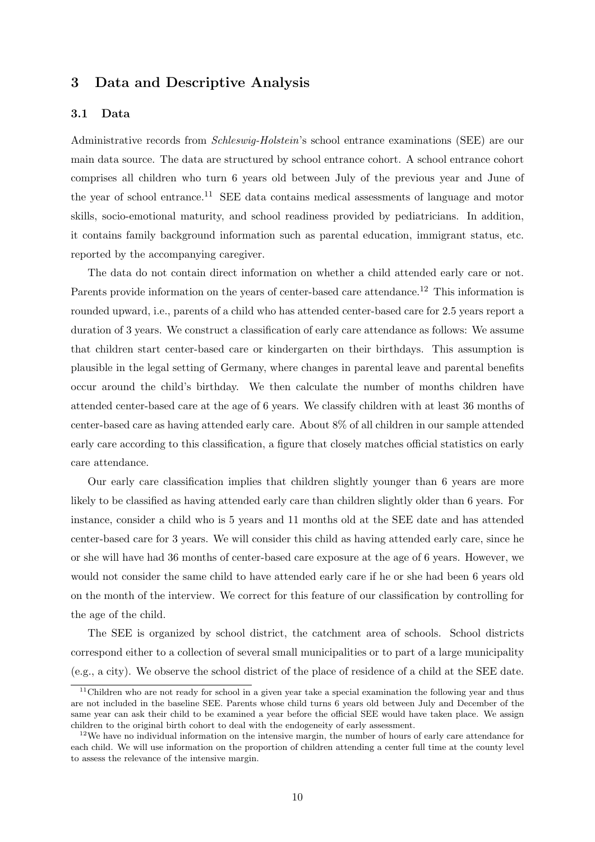# **3 Data and Descriptive Analysis**

### **3.1 Data**

Administrative records from *Schleswig-Holstein*'s school entrance examinations (SEE) are our main data source. The data are structured by school entrance cohort. A school entrance cohort comprises all children who turn 6 years old between July of the previous year and June of the year of school entrance.<sup>11</sup> SEE data contains medical assessments of language and motor skills, socio-emotional maturity, and school readiness provided by pediatricians. In addition, it contains family background information such as parental education, immigrant status, etc. reported by the accompanying caregiver.

The data do not contain direct information on whether a child attended early care or not. Parents provide information on the years of center-based care attendance.<sup>12</sup> This information is rounded upward, i.e., parents of a child who has attended center-based care for 2.5 years report a duration of 3 years. We construct a classification of early care attendance as follows: We assume that children start center-based care or kindergarten on their birthdays. This assumption is plausible in the legal setting of Germany, where changes in parental leave and parental benefits occur around the child's birthday. We then calculate the number of months children have attended center-based care at the age of 6 years. We classify children with at least 36 months of center-based care as having attended early care. About 8% of all children in our sample attended early care according to this classification, a figure that closely matches official statistics on early care attendance.

Our early care classification implies that children slightly younger than 6 years are more likely to be classified as having attended early care than children slightly older than 6 years. For instance, consider a child who is 5 years and 11 months old at the SEE date and has attended center-based care for 3 years. We will consider this child as having attended early care, since he or she will have had 36 months of center-based care exposure at the age of 6 years. However, we would not consider the same child to have attended early care if he or she had been 6 years old on the month of the interview. We correct for this feature of our classification by controlling for the age of the child.

The SEE is organized by school district, the catchment area of schools. School districts correspond either to a collection of several small municipalities or to part of a large municipality (e.g., a city). We observe the school district of the place of residence of a child at the SEE date.

<sup>&</sup>lt;sup>11</sup>Children who are not ready for school in a given year take a special examination the following year and thus are not included in the baseline SEE. Parents whose child turns 6 years old between July and December of the same year can ask their child to be examined a year before the official SEE would have taken place. We assign children to the original birth cohort to deal with the endogeneity of early assessment.

<sup>&</sup>lt;sup>12</sup>We have no individual information on the intensive margin, the number of hours of early care attendance for each child. We will use information on the proportion of children attending a center full time at the county level to assess the relevance of the intensive margin.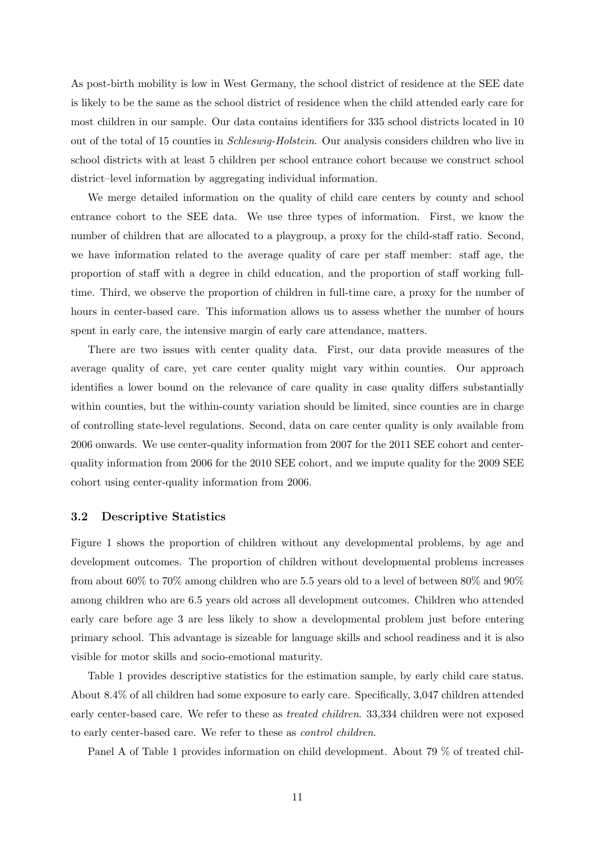As post-birth mobility is low in West Germany, the school district of residence at the SEE date is likely to be the same as the school district of residence when the child attended early care for most children in our sample. Our data contains identifiers for 335 school districts located in 10 out of the total of 15 counties in *Schleswig-Holstein*. Our analysis considers children who live in school districts with at least 5 children per school entrance cohort because we construct school district–level information by aggregating individual information.

We merge detailed information on the quality of child care centers by county and school entrance cohort to the SEE data. We use three types of information. First, we know the number of children that are allocated to a playgroup, a proxy for the child-staff ratio. Second, we have information related to the average quality of care per staff member: staff age, the proportion of staff with a degree in child education, and the proportion of staff working fulltime. Third, we observe the proportion of children in full-time care, a proxy for the number of hours in center-based care. This information allows us to assess whether the number of hours spent in early care, the intensive margin of early care attendance, matters.

There are two issues with center quality data. First, our data provide measures of the average quality of care, yet care center quality might vary within counties. Our approach identifies a lower bound on the relevance of care quality in case quality differs substantially within counties, but the within-county variation should be limited, since counties are in charge of controlling state-level regulations. Second, data on care center quality is only available from 2006 onwards. We use center-quality information from 2007 for the 2011 SEE cohort and centerquality information from 2006 for the 2010 SEE cohort, and we impute quality for the 2009 SEE cohort using center-quality information from 2006.

### **3.2 Descriptive Statistics**

Figure 1 shows the proportion of children without any developmental problems, by age and development outcomes. The proportion of children without developmental problems increases from about 60% to 70% among children who are 5.5 years old to a level of between 80% and 90% among children who are 6.5 years old across all development outcomes. Children who attended early care before age 3 are less likely to show a developmental problem just before entering primary school. This advantage is sizeable for language skills and school readiness and it is also visible for motor skills and socio-emotional maturity.

Table 1 provides descriptive statistics for the estimation sample, by early child care status. About 8.4% of all children had some exposure to early care. Specifically, 3,047 children attended early center-based care. We refer to these as *treated children*. 33,334 children were not exposed to early center-based care. We refer to these as *control children*.

Panel A of Table 1 provides information on child development. About 79 % of treated chil-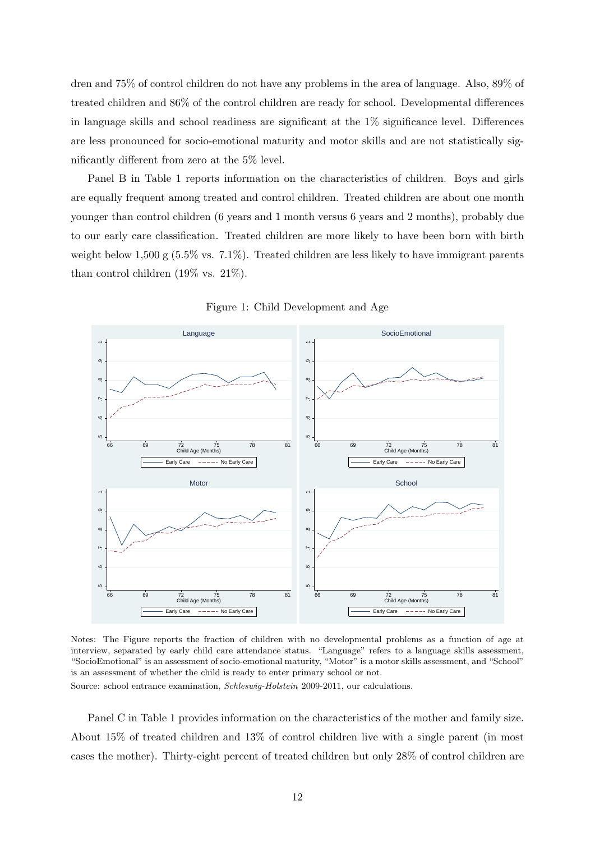dren and 75% of control children do not have any problems in the area of language. Also, 89% of treated children and 86% of the control children are ready for school. Developmental differences in language skills and school readiness are significant at the 1% significance level. Differences are less pronounced for socio-emotional maturity and motor skills and are not statistically significantly different from zero at the 5% level.

Panel B in Table 1 reports information on the characteristics of children. Boys and girls are equally frequent among treated and control children. Treated children are about one month younger than control children (6 years and 1 month versus 6 years and 2 months), probably due to our early care classification. Treated children are more likely to have been born with birth weight below 1,500 g  $(5.5\% \text{ vs. } 7.1\%)$ . Treated children are less likely to have immigrant parents than control children (19% vs. 21%).



Figure 1: Child Development and Age

Notes: The Figure reports the fraction of children with no developmental problems as a function of age at interview, separated by early child care attendance status. "Language" refers to a language skills assessment, "SocioEmotional" is an assessment of socio-emotional maturity, "Motor" is a motor skills assessment, and "School" is an assessment of whether the child is ready to enter primary school or not.

Source: school entrance examination, *Schleswig-Holstein* 2009-2011, our calculations.

Panel C in Table 1 provides information on the characteristics of the mother and family size. About 15% of treated children and 13% of control children live with a single parent (in most cases the mother). Thirty-eight percent of treated children but only 28% of control children are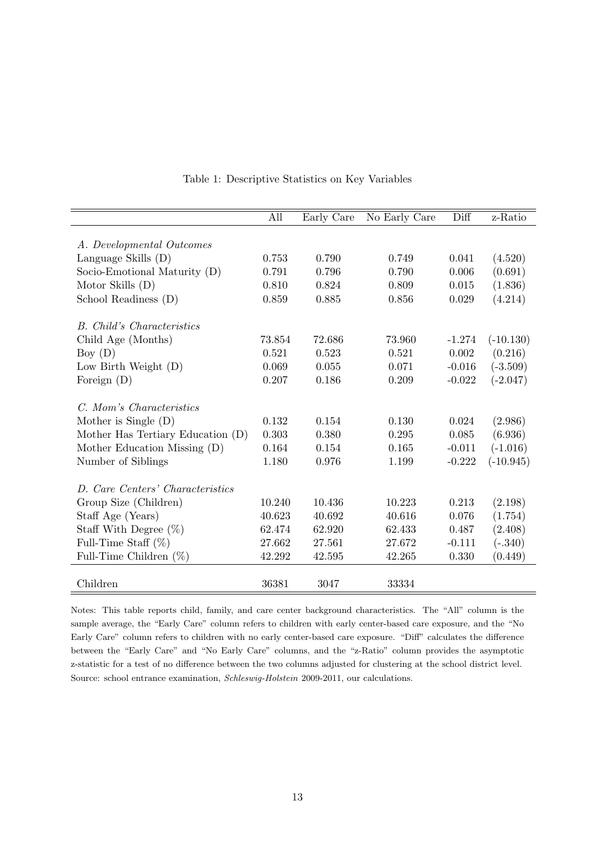|                                   | All    | Early Care | No Early Care | Diff     | z-Ratio     |
|-----------------------------------|--------|------------|---------------|----------|-------------|
|                                   |        |            |               |          |             |
| A. Developmental Outcomes         |        |            |               |          |             |
| Language Skills (D)               | 0.753  | 0.790      | 0.749         | 0.041    | (4.520)     |
| Socio-Emotional Maturity (D)      | 0.791  | 0.796      | 0.790         | 0.006    | (0.691)     |
| Motor Skills $(D)$                | 0.810  | 0.824      | 0.809         | 0.015    | (1.836)     |
| School Readiness (D)              | 0.859  | 0.885      | 0.856         | 0.029    | (4.214)     |
| <b>B.</b> Child's Characteristics |        |            |               |          |             |
| Child Age (Months)                | 73.854 | 72.686     | 73.960        | $-1.274$ | $(-10.130)$ |
| Boy $(D)$                         | 0.521  | 0.523      | 0.521         | 0.002    | (0.216)     |
| Low Birth Weight $(D)$            | 0.069  | 0.055      | 0.071         | $-0.016$ | $(-3.509)$  |
| Foreign $(D)$                     | 0.207  | 0.186      | 0.209         | $-0.022$ | $(-2.047)$  |
| C. Mom's Characteristics          |        |            |               |          |             |
| Mother is Single $(D)$            | 0.132  | 0.154      | 0.130         | 0.024    | (2.986)     |
| Mother Has Tertiary Education (D) | 0.303  | 0.380      | 0.295         | 0.085    | (6.936)     |
| Mother Education Missing (D)      | 0.164  | 0.154      | 0.165         | $-0.011$ | $(-1.016)$  |
| Number of Siblings                | 1.180  | 0.976      | 1.199         | $-0.222$ | $(-10.945)$ |
| D. Care Centers' Characteristics  |        |            |               |          |             |
| Group Size (Children)             | 10.240 | 10.436     | 10.223        | 0.213    | (2.198)     |
|                                   | 40.623 | 40.692     | 40.616        | 0.076    | (1.754)     |
| Staff Age (Years)                 |        |            |               |          |             |
| Staff With Degree $(\%)$          | 62.474 | 62.920     | 62.433        | 0.487    | (2.408)     |
| Full-Time Staff $(\%)$            | 27.662 | 27.561     | 27.672        | $-0.111$ | $(-.340)$   |
| Full-Time Children $(\%)$         | 42.292 | 42.595     | 42.265        | 0.330    | (0.449)     |
| Children                          | 36381  | 3047       | 33334         |          |             |

#### Table 1: Descriptive Statistics on Key Variables

Notes: This table reports child, family, and care center background characteristics. The "All" column is the sample average, the "Early Care" column refers to children with early center-based care exposure, and the "No Early Care" column refers to children with no early center-based care exposure. "Diff" calculates the difference between the "Early Care" and "No Early Care" columns, and the "z-Ratio" column provides the asymptotic z-statistic for a test of no difference between the two columns adjusted for clustering at the school district level. Source: school entrance examination, *Schleswig-Holstein* 2009-2011, our calculations.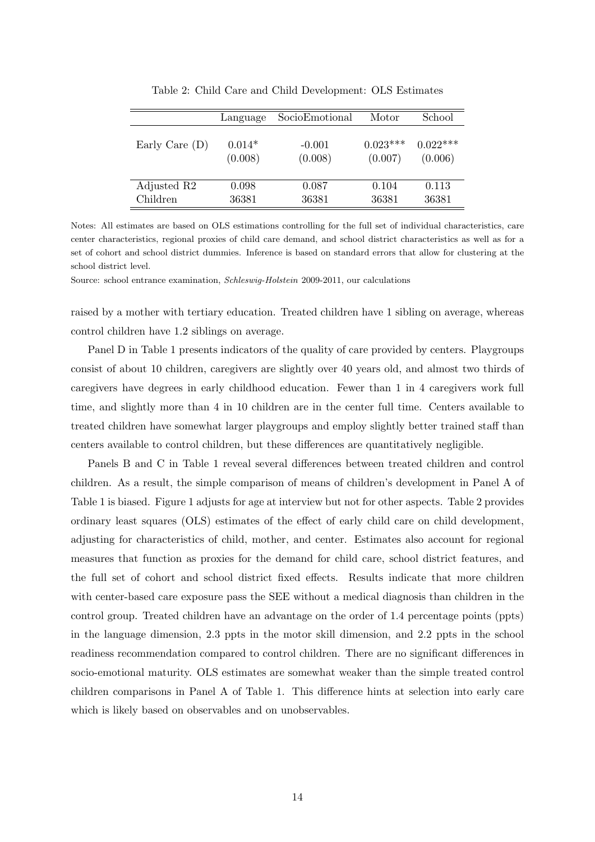|                  | Language | SocioEmotional | Motor      | School     |
|------------------|----------|----------------|------------|------------|
| Early Care $(D)$ | $0.014*$ | $-0.001$       | $0.023***$ | $0.022***$ |
|                  | (0.008)  | (0.008)        | (0.007)    | (0.006)    |
| Adjusted R2      | 0.098    | 0.087          | 0.104      | 0.113      |
| Children         | 36381    | 36381          | 36381      | 36381      |

Table 2: Child Care and Child Development: OLS Estimates

Notes: All estimates are based on OLS estimations controlling for the full set of individual characteristics, care center characteristics, regional proxies of child care demand, and school district characteristics as well as for a set of cohort and school district dummies. Inference is based on standard errors that allow for clustering at the school district level.

Source: school entrance examination, *Schleswig-Holstein* 2009-2011, our calculations

raised by a mother with tertiary education. Treated children have 1 sibling on average, whereas control children have 1.2 siblings on average.

Panel D in Table 1 presents indicators of the quality of care provided by centers. Playgroups consist of about 10 children, caregivers are slightly over 40 years old, and almost two thirds of caregivers have degrees in early childhood education. Fewer than 1 in 4 caregivers work full time, and slightly more than 4 in 10 children are in the center full time. Centers available to treated children have somewhat larger playgroups and employ slightly better trained staff than centers available to control children, but these differences are quantitatively negligible.

Panels B and C in Table 1 reveal several differences between treated children and control children. As a result, the simple comparison of means of children's development in Panel A of Table 1 is biased. Figure 1 adjusts for age at interview but not for other aspects. Table 2 provides ordinary least squares (OLS) estimates of the effect of early child care on child development, adjusting for characteristics of child, mother, and center. Estimates also account for regional measures that function as proxies for the demand for child care, school district features, and the full set of cohort and school district fixed effects. Results indicate that more children with center-based care exposure pass the SEE without a medical diagnosis than children in the control group. Treated children have an advantage on the order of 1.4 percentage points (ppts) in the language dimension, 2.3 ppts in the motor skill dimension, and 2.2 ppts in the school readiness recommendation compared to control children. There are no significant differences in socio-emotional maturity. OLS estimates are somewhat weaker than the simple treated control children comparisons in Panel A of Table 1. This difference hints at selection into early care which is likely based on observables and on unobservables.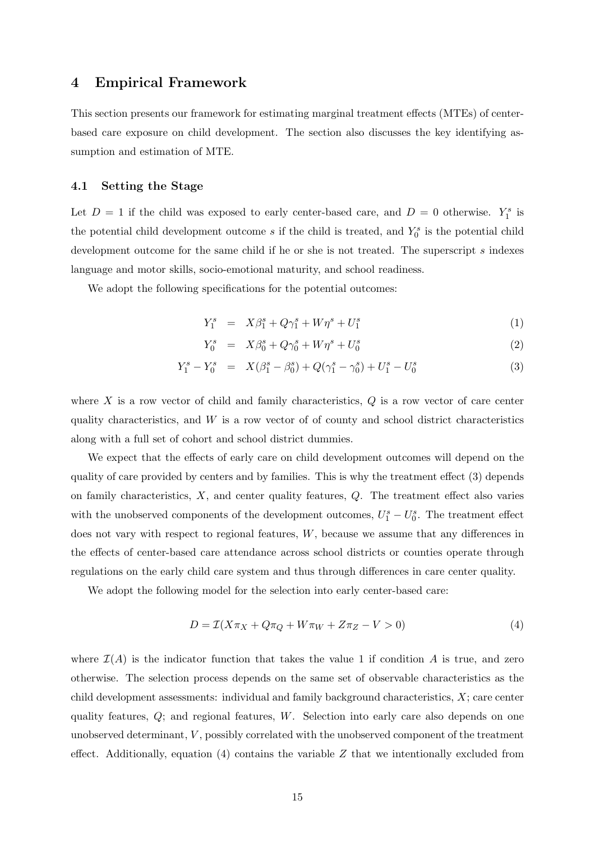### **4 Empirical Framework**

This section presents our framework for estimating marginal treatment effects (MTEs) of centerbased care exposure on child development. The section also discusses the key identifying assumption and estimation of MTE.

#### **4.1 Setting the Stage**

Let  $D = 1$  if the child was exposed to early center-based care, and  $D = 0$  otherwise.  $Y_1^s$  is the potential child development outcome  $s$  if the child is treated, and  $Y_0^s$  is the potential child development outcome for the same child if he or she is not treated. The superscript *s* indexes language and motor skills, socio-emotional maturity, and school readiness.

We adopt the following specifications for the potential outcomes:

$$
Y_1^s = X\beta_1^s + Q\gamma_1^s + W\eta^s + U_1^s \tag{1}
$$

$$
Y_0^s = X\beta_0^s + Q\gamma_0^s + W\eta^s + U_0^s \tag{2}
$$

$$
Y_1^s - Y_0^s = X(\beta_1^s - \beta_0^s) + Q(\gamma_1^s - \gamma_0^s) + U_1^s - U_0^s \tag{3}
$$

where *X* is a row vector of child and family characteristics, *Q* is a row vector of care center quality characteristics, and *W* is a row vector of of county and school district characteristics along with a full set of cohort and school district dummies.

We expect that the effects of early care on child development outcomes will depend on the quality of care provided by centers and by families. This is why the treatment effect (3) depends on family characteristics, *X*, and center quality features, *Q*. The treatment effect also varies with the unobserved components of the development outcomes,  $U_1^s - U_0^s$ . The treatment effect does not vary with respect to regional features, *W*, because we assume that any differences in the effects of center-based care attendance across school districts or counties operate through regulations on the early child care system and thus through differences in care center quality.

We adopt the following model for the selection into early center-based care:

$$
D = \mathcal{I}(X\pi_X + Q\pi_Q + W\pi_W + Z\pi_Z - V > 0)
$$
\n<sup>(4)</sup>

where  $\mathcal{I}(A)$  is the indicator function that takes the value 1 if condition A is true, and zero otherwise. The selection process depends on the same set of observable characteristics as the child development assessments: individual and family background characteristics, *X*; care center quality features, *Q*; and regional features, *W*. Selection into early care also depends on one unobserved determinant, *V* , possibly correlated with the unobserved component of the treatment effect. Additionally, equation (4) contains the variable *Z* that we intentionally excluded from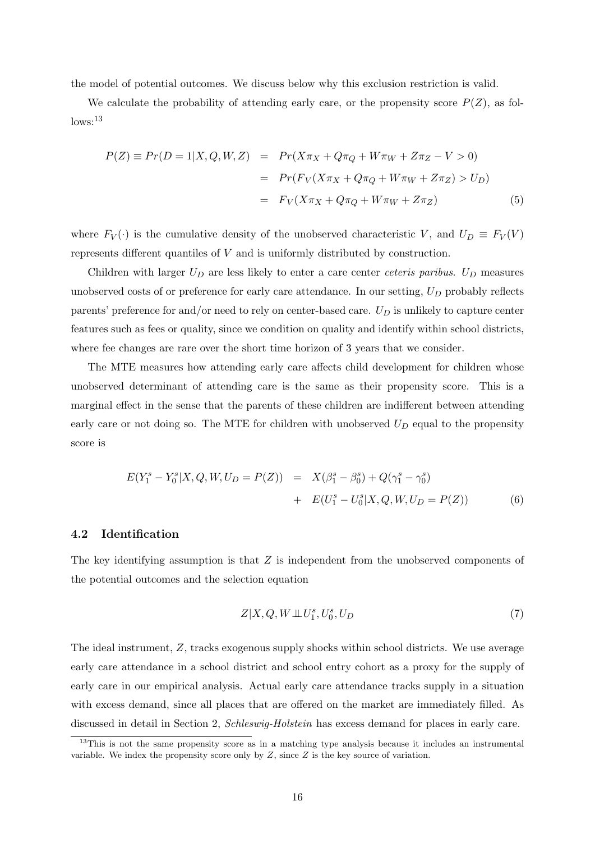the model of potential outcomes. We discuss below why this exclusion restriction is valid.

We calculate the probability of attending early care, or the propensity score  $P(Z)$ , as fol- $\log^{13}$ 

$$
P(Z) \equiv Pr(D = 1|X, Q, W, Z) = Pr(X\pi_X + Q\pi_Q + W\pi_W + Z\pi_Z - V > 0)
$$
  
= 
$$
Pr(F_V(X\pi_X + Q\pi_Q + W\pi_W + Z\pi_Z) > U_D)
$$
  
= 
$$
F_V(X\pi_X + Q\pi_Q + W\pi_W + Z\pi_Z)
$$
(5)

where  $F_V(\cdot)$  is the cumulative density of the unobserved characteristic *V*, and  $U_D \equiv F_V(V)$ represents different quantiles of *V* and is uniformly distributed by construction.

Children with larger  $U_D$  are less likely to enter a care center *ceteris paribus*.  $U_D$  measures unobserved costs of or preference for early care attendance. In our setting, *U<sup>D</sup>* probably reflects parents' preference for and/or need to rely on center-based care. *U<sup>D</sup>* is unlikely to capture center features such as fees or quality, since we condition on quality and identify within school districts, where fee changes are rare over the short time horizon of 3 years that we consider.

The MTE measures how attending early care affects child development for children whose unobserved determinant of attending care is the same as their propensity score. This is a marginal effect in the sense that the parents of these children are indifferent between attending early care or not doing so. The MTE for children with unobserved  $U_D$  equal to the propensity score is

$$
E(Y_1^s - Y_0^s | X, Q, W, U_D = P(Z)) = X(\beta_1^s - \beta_0^s) + Q(\gamma_1^s - \gamma_0^s)
$$
  
+ 
$$
E(U_1^s - U_0^s | X, Q, W, U_D = P(Z))
$$
 (6)

#### **4.2 Identification**

The key identifying assumption is that *Z* is independent from the unobserved components of the potential outcomes and the selection equation

$$
Z|X,Q,W \perp\!\!\!\perp U_1^s, U_0^s, U_D \tag{7}
$$

The ideal instrument, *Z*, tracks exogenous supply shocks within school districts. We use average early care attendance in a school district and school entry cohort as a proxy for the supply of early care in our empirical analysis. Actual early care attendance tracks supply in a situation with excess demand, since all places that are offered on the market are immediately filled. As discussed in detail in Section 2, *Schleswig-Holstein* has excess demand for places in early care.

 $13$ This is not the same propensity score as in a matching type analysis because it includes an instrumental variable. We index the propensity score only by *Z*, since *Z* is the key source of variation.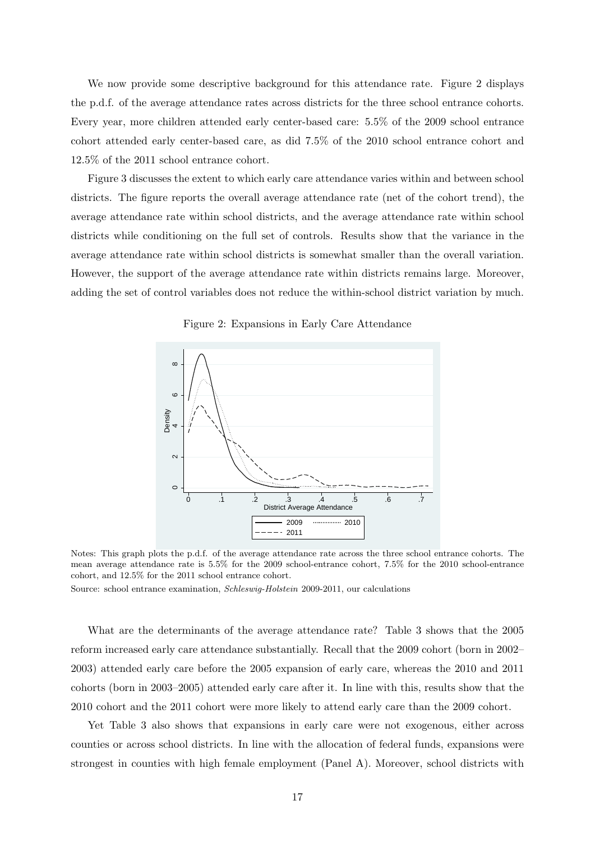We now provide some descriptive background for this attendance rate. Figure 2 displays the p.d.f. of the average attendance rates across districts for the three school entrance cohorts. Every year, more children attended early center-based care: 5.5% of the 2009 school entrance cohort attended early center-based care, as did 7.5% of the 2010 school entrance cohort and 12.5% of the 2011 school entrance cohort.

Figure 3 discusses the extent to which early care attendance varies within and between school districts. The figure reports the overall average attendance rate (net of the cohort trend), the average attendance rate within school districts, and the average attendance rate within school districts while conditioning on the full set of controls. Results show that the variance in the average attendance rate within school districts is somewhat smaller than the overall variation. However, the support of the average attendance rate within districts remains large. Moreover, adding the set of control variables does not reduce the within-school district variation by much.



Figure 2: Expansions in Early Care Attendance

Notes: This graph plots the p.d.f. of the average attendance rate across the three school entrance cohorts. The mean average attendance rate is 5.5% for the 2009 school-entrance cohort, 7.5% for the 2010 school-entrance cohort, and 12.5% for the 2011 school entrance cohort.

Source: school entrance examination, *Schleswig-Holstein* 2009-2011, our calculations

What are the determinants of the average attendance rate? Table 3 shows that the 2005 reform increased early care attendance substantially. Recall that the 2009 cohort (born in 2002– 2003) attended early care before the 2005 expansion of early care, whereas the 2010 and 2011 cohorts (born in 2003–2005) attended early care after it. In line with this, results show that the 2010 cohort and the 2011 cohort were more likely to attend early care than the 2009 cohort.

Yet Table 3 also shows that expansions in early care were not exogenous, either across counties or across school districts. In line with the allocation of federal funds, expansions were strongest in counties with high female employment (Panel A). Moreover, school districts with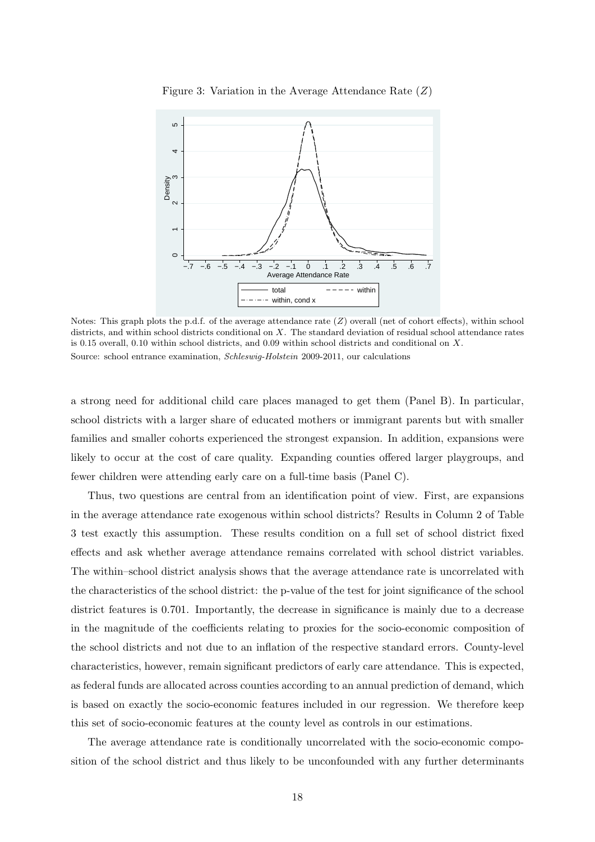

Figure 3: Variation in the Average Attendance Rate (*Z*)

Notes: This graph plots the p.d.f. of the average attendance rate (*Z*) overall (net of cohort effects), within school districts, and within school districts conditional on *X*. The standard deviation of residual school attendance rates is 0.15 overall, 0.10 within school districts, and 0.09 within school districts and conditional on *X*. Source: school entrance examination, *Schleswig-Holstein* 2009-2011, our calculations

a strong need for additional child care places managed to get them (Panel B). In particular, school districts with a larger share of educated mothers or immigrant parents but with smaller families and smaller cohorts experienced the strongest expansion. In addition, expansions were likely to occur at the cost of care quality. Expanding counties offered larger playgroups, and fewer children were attending early care on a full-time basis (Panel C).

Thus, two questions are central from an identification point of view. First, are expansions in the average attendance rate exogenous within school districts? Results in Column 2 of Table 3 test exactly this assumption. These results condition on a full set of school district fixed effects and ask whether average attendance remains correlated with school district variables. The within–school district analysis shows that the average attendance rate is uncorrelated with the characteristics of the school district: the p-value of the test for joint significance of the school district features is 0.701. Importantly, the decrease in significance is mainly due to a decrease in the magnitude of the coefficients relating to proxies for the socio-economic composition of the school districts and not due to an inflation of the respective standard errors. County-level characteristics, however, remain significant predictors of early care attendance. This is expected, as federal funds are allocated across counties according to an annual prediction of demand, which is based on exactly the socio-economic features included in our regression. We therefore keep this set of socio-economic features at the county level as controls in our estimations.

The average attendance rate is conditionally uncorrelated with the socio-economic composition of the school district and thus likely to be unconfounded with any further determinants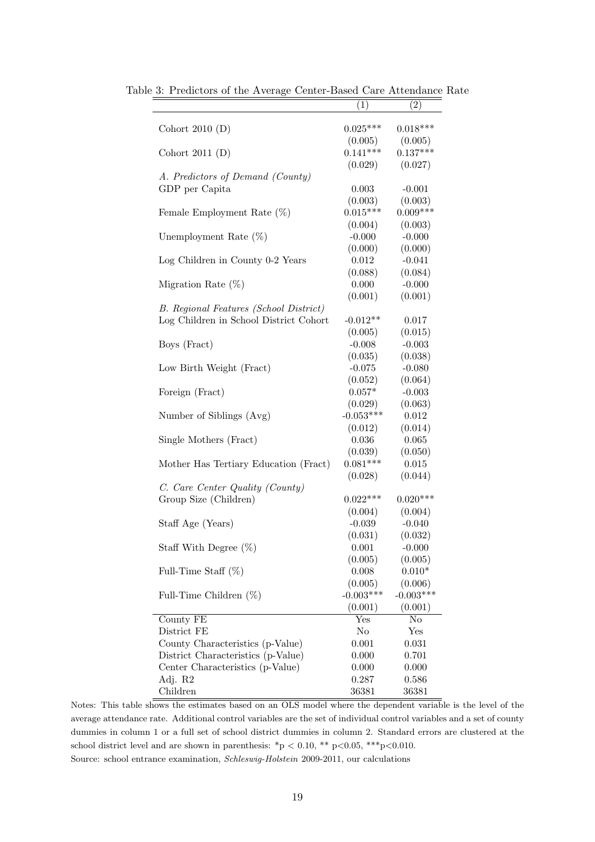|                                               | (1)            | (2)            |
|-----------------------------------------------|----------------|----------------|
| Cohort $2010(D)$                              | $0.025***$     | $0.018***$     |
|                                               | (0.005)        | (0.005)        |
| Cohort 2011 $(D)$                             | $0.141***$     | $0.137***$     |
|                                               | (0.029)        | (0.027)        |
| A. Predictors of Demand (County)              |                |                |
| GDP per Capita                                | 0.003          | $-0.001$       |
|                                               | (0.003)        | (0.003)        |
| Female Employment Rate $(\%)$                 | $0.015***$     | $0.009***$     |
|                                               | (0.004)        | (0.003)        |
| Unemployment Rate $(\%)$                      | $-0.000$       | $-0.000$       |
|                                               | (0.000)        | (0.000)        |
| Log Children in County 0-2 Years              | 0.012          | $-0.041$       |
|                                               | (0.088)        | (0.084)        |
| Migration Rate $(\%)$                         | 0.000          | $-0.000$       |
|                                               | (0.001)        | (0.001)        |
| <b>B.</b> Regional Features (School District) |                |                |
| Log Children in School District Cohort        | $-0.012**$     | 0.017          |
|                                               | (0.005)        | (0.015)        |
| Boys (Fract)                                  | $-0.008$       | $-0.003$       |
|                                               | (0.035)        | (0.038)        |
| Low Birth Weight (Fract)                      | $-0.075$       | $-0.080$       |
|                                               | (0.052)        | (0.064)        |
| Foreign (Fract)                               | $0.057*$       | $-0.003$       |
|                                               | (0.029)        | (0.063)        |
| Number of Siblings (Avg)                      | $-0.053***$    | 0.012          |
|                                               | (0.012)        | (0.014)        |
| Single Mothers (Fract)                        | 0.036          | $0.065\,$      |
|                                               | (0.039)        | (0.050)        |
| Mother Has Tertiary Education (Fract)         | $0.081***$     | $\,0.015\,$    |
|                                               | (0.028)        | (0.044)        |
| C. Care Center Quality (County)               |                |                |
| Group Size (Children)                         | $0.022***$     | $0.020***$     |
|                                               | (0.004)        | (0.004)        |
| Staff Age (Years)                             | $-0.039$       | $-0.040$       |
|                                               | (0.031)        | (0.032)        |
| Staff With Degree $(\%)$                      | 0.001          | $-0.000$       |
|                                               | (0.005)        | (0.005)        |
| Full-Time Staff $(\%)$                        | 0.008          | $0.010*$       |
|                                               | (0.005)        | (0.006)        |
| Full-Time Children $(\%)$                     | $-0.003***$    | $-0.003***$    |
|                                               | (0.001)        | (0.001)        |
| County FE                                     | Yes            | $\rm No$       |
| District FE                                   | $\rm No$       | Yes            |
| County Characteristics (p-Value)              | 0.001          | 0.031          |
| District Characteristics (p-Value)            | 0.000          | 0.701          |
| Center Characteristics (p-Value)              | 0.000          | 0.000          |
| Adj. R2<br>Children                           | 0.287<br>36381 | 0.586<br>36381 |
|                                               |                |                |

Table 3: Predictors of the Average Center-Based Care Attendance Rate

Notes: This table shows the estimates based on an OLS model where the dependent variable is the level of the average attendance rate. Additional control variables are the set of individual control variables and a set of county dummies in column 1 or a full set of school district dummies in column 2. Standard errors are clustered at the school district level and are shown in parenthesis:  $*p < 0.10$ ,  $** p < 0.05$ ,  $***p < 0.010$ . Source: school entrance examination, *Schleswig-Holstein* 2009-2011, our calculations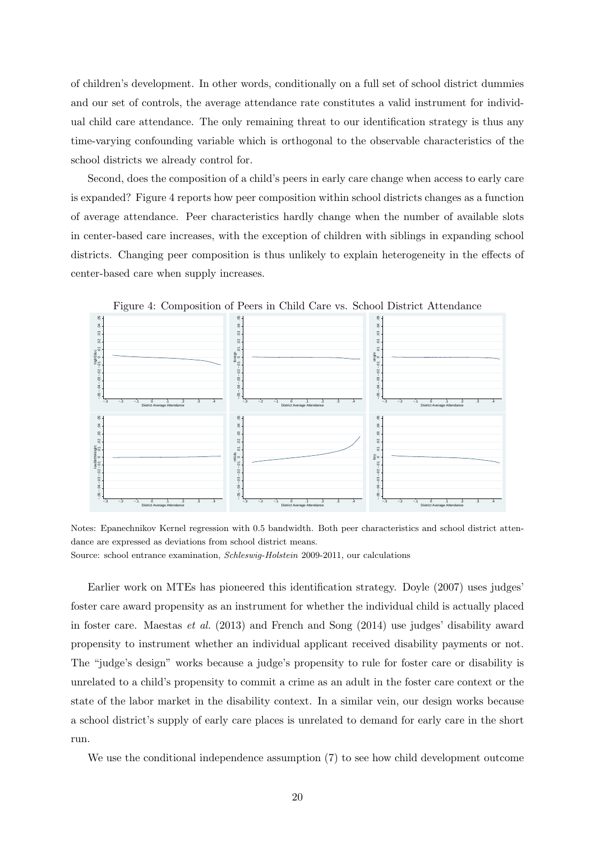of children's development. In other words, conditionally on a full set of school district dummies and our set of controls, the average attendance rate constitutes a valid instrument for individual child care attendance. The only remaining threat to our identification strategy is thus any time-varying confounding variable which is orthogonal to the observable characteristics of the school districts we already control for.

Second, does the composition of a child's peers in early care change when access to early care is expanded? Figure 4 reports how peer composition within school districts changes as a function of average attendance. Peer characteristics hardly change when the number of available slots in center-based care increases, with the exception of children with siblings in expanding school districts. Changing peer composition is thus unlikely to explain heterogeneity in the effects of center-based care when supply increases.



Figure 4: Composition of Peers in Child Care vs. School District Attendance

Notes: Epanechnikov Kernel regression with 0.5 bandwidth. Both peer characteristics and school district attendance are expressed as deviations from school district means.

Source: school entrance examination, *Schleswig-Holstein* 2009-2011, our calculations

Earlier work on MTEs has pioneered this identification strategy. Doyle (2007) uses judges' foster care award propensity as an instrument for whether the individual child is actually placed in foster care. Maestas *et al.* (2013) and French and Song (2014) use judges' disability award propensity to instrument whether an individual applicant received disability payments or not. The "judge's design" works because a judge's propensity to rule for foster care or disability is unrelated to a child's propensity to commit a crime as an adult in the foster care context or the state of the labor market in the disability context. In a similar vein, our design works because a school district's supply of early care places is unrelated to demand for early care in the short run.

We use the conditional independence assumption (7) to see how child development outcome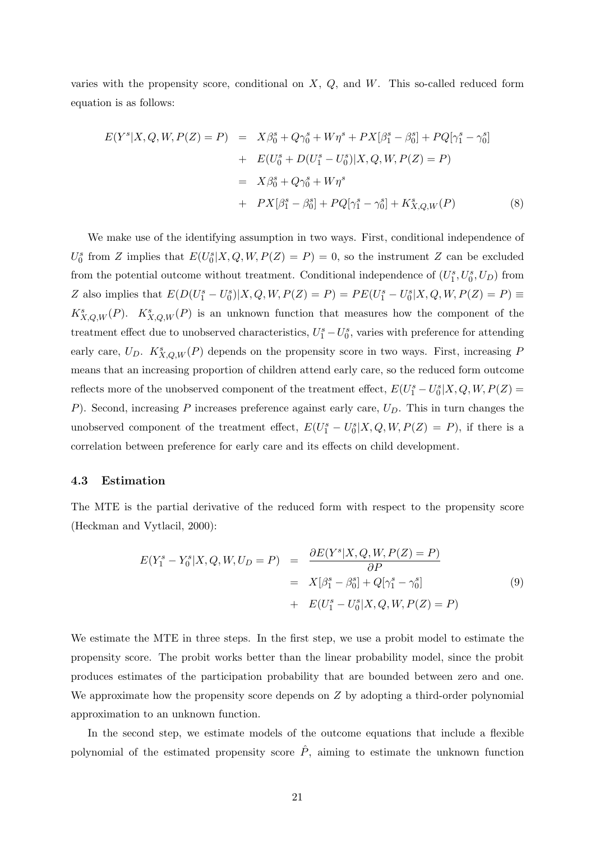varies with the propensity score, conditional on *X*, *Q*, and *W*. This so-called reduced form equation is as follows:

$$
E(Y^s|X, Q, W, P(Z) = P) = X\beta_0^s + Q\gamma_0^s + W\eta^s + PX[\beta_1^s - \beta_0^s] + PQ[\gamma_1^s - \gamma_0^s]
$$
  
+ 
$$
E(U_0^s + D(U_1^s - U_0^s)|X, Q, W, P(Z) = P)
$$
  
= 
$$
X\beta_0^s + Q\gamma_0^s + W\eta^s
$$
  
+ 
$$
PX[\beta_1^s - \beta_0^s] + PQ[\gamma_1^s - \gamma_0^s] + K_{X,Q,W}^s(P)
$$
(8)

We make use of the identifying assumption in two ways. First, conditional independence of  $U_0^s$  from *Z* implies that  $E(U_0^s|X,Q,W,P(Z) = P) = 0$ , so the instrument *Z* can be excluded from the potential outcome without treatment. Conditional independence of  $(U_1^s, U_0^s, U_D)$  from Z also implies that  $E(D(U_1^s - U_0^s)|X, Q, W, P(Z) = P) = PE(U_1^s - U_0^s|X, Q, W, P(Z) = P) \equiv$  $K_{X,Q,W}^s(P)$ .  $K_{X,Q,W}^s(P)$  is an unknown function that measures how the component of the treatment effect due to unobserved characteristics,  $U_1^s - U_0^s$ , varies with preference for attending early care,  $U_D$ .  $K_{X,Q,W}^s(P)$  depends on the propensity score in two ways. First, increasing *P* means that an increasing proportion of children attend early care, so the reduced form outcome reflects more of the unobserved component of the treatment effect,  $E(U_1^s - U_0^s | X, Q, W, P(Z) =$ *P*). Second, increasing *P* increases preference against early care, *UD*. This in turn changes the unobserved component of the treatment effect,  $E(U_1^s - U_0^s | X, Q, W, P(Z) = P)$ , if there is a correlation between preference for early care and its effects on child development.

#### **4.3 Estimation**

The MTE is the partial derivative of the reduced form with respect to the propensity score (Heckman and Vytlacil, 2000):

$$
E(Y_1^s - Y_0^s | X, Q, W, U_D = P) = \frac{\partial E(Y^s | X, Q, W, P(Z) = P)}{\partial P}
$$
  
=  $X[\beta_1^s - \beta_0^s] + Q[\gamma_1^s - \gamma_0^s]$   
+  $E(U_1^s - U_0^s | X, Q, W, P(Z) = P)$  (9)

We estimate the MTE in three steps. In the first step, we use a probit model to estimate the propensity score. The probit works better than the linear probability model, since the probit produces estimates of the participation probability that are bounded between zero and one. We approximate how the propensity score depends on *Z* by adopting a third-order polynomial approximation to an unknown function.

In the second step, we estimate models of the outcome equations that include a flexible polynomial of the estimated propensity score  $\hat{P}$ , aiming to estimate the unknown function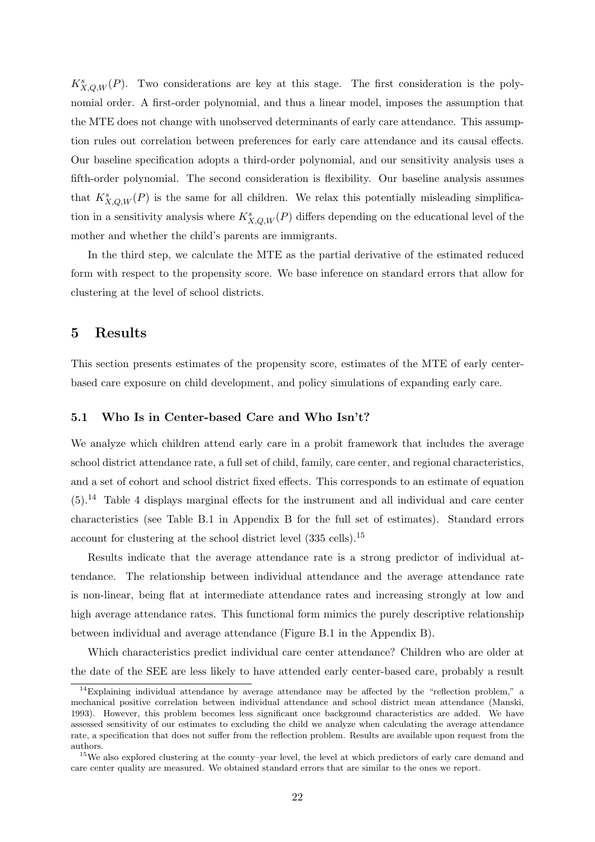$K_{X,Q,W}^s(P)$ . Two considerations are key at this stage. The first consideration is the polynomial order. A first-order polynomial, and thus a linear model, imposes the assumption that the MTE does not change with unobserved determinants of early care attendance. This assumption rules out correlation between preferences for early care attendance and its causal effects. Our baseline specification adopts a third-order polynomial, and our sensitivity analysis uses a fifth-order polynomial. The second consideration is flexibility. Our baseline analysis assumes that  $K_{X,Q,W}^s(P)$  is the same for all children. We relax this potentially misleading simplification in a sensitivity analysis where  $K_{X,Q,W}^s(P)$  differs depending on the educational level of the mother and whether the child's parents are immigrants.

In the third step, we calculate the MTE as the partial derivative of the estimated reduced form with respect to the propensity score. We base inference on standard errors that allow for clustering at the level of school districts.

### **5 Results**

This section presents estimates of the propensity score, estimates of the MTE of early centerbased care exposure on child development, and policy simulations of expanding early care.

#### **5.1 Who Is in Center-based Care and Who Isn't?**

We analyze which children attend early care in a probit framework that includes the average school district attendance rate, a full set of child, family, care center, and regional characteristics, and a set of cohort and school district fixed effects. This corresponds to an estimate of equation  $(5).<sup>14</sup>$  Table 4 displays marginal effects for the instrument and all individual and care center characteristics (see Table B.1 in Appendix B for the full set of estimates). Standard errors account for clustering at the school district level (335 cells).<sup>15</sup>

Results indicate that the average attendance rate is a strong predictor of individual attendance. The relationship between individual attendance and the average attendance rate is non-linear, being flat at intermediate attendance rates and increasing strongly at low and high average attendance rates. This functional form mimics the purely descriptive relationship between individual and average attendance (Figure B.1 in the Appendix B).

Which characteristics predict individual care center attendance? Children who are older at the date of the SEE are less likely to have attended early center-based care, probably a result

<sup>&</sup>lt;sup>14</sup>Explaining individual attendance by average attendance may be affected by the "reflection problem," a mechanical positive correlation between individual attendance and school district mean attendance (Manski, 1993). However, this problem becomes less significant once background characteristics are added. We have assessed sensitivity of our estimates to excluding the child we analyze when calculating the average attendance rate, a specification that does not suffer from the reflection problem. Results are available upon request from the authors.

<sup>&</sup>lt;sup>15</sup>We also explored clustering at the county–year level, the level at which predictors of early care demand and care center quality are measured. We obtained standard errors that are similar to the ones we report.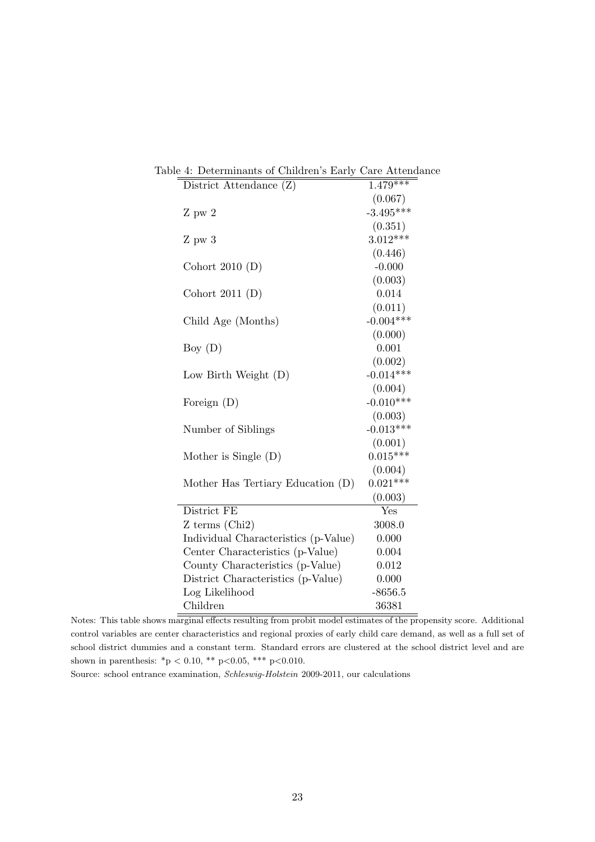| able 4: Determinants of Children's Early Care Attendance |             |
|----------------------------------------------------------|-------------|
| District Attendance (Z)                                  | $1.479***$  |
|                                                          | (0.067)     |
| $Z$ pw $2$                                               | $-3.495***$ |
|                                                          | (0.351)     |
| $Z$ pw $3$                                               | $3.012***$  |
|                                                          | (0.446)     |
| Cohort 2010 $(D)$                                        | $-0.000$    |
|                                                          | (0.003)     |
| Cohort 2011 $(D)$                                        | 0.014       |
|                                                          | (0.011)     |
| Child Age (Months)                                       | $-0.004***$ |
|                                                          | (0.000)     |
| Boy $(D)$                                                | 0.001       |
|                                                          | (0.002)     |
| Low Birth Weight $(D)$                                   | $-0.014***$ |
|                                                          | (0.004)     |
| Foreign $(D)$                                            | $-0.010***$ |
|                                                          | (0.003)     |
| Number of Siblings                                       | $-0.013***$ |
|                                                          | (0.001)     |
| Mother is Single $(D)$                                   | $0.015***$  |
|                                                          | (0.004)     |
| Mother Has Tertiary Education (D)                        | $0.021***$  |
|                                                          | (0.003)     |
| District FE                                              | Yes         |
| $Z$ terms (Chi <sub>2</sub> )                            | 3008.0      |
| Individual Characteristics (p-Value)                     | 0.000       |
| Center Characteristics (p-Value)                         | 0.004       |
| County Characteristics (p-Value)                         | 0.012       |
| District Characteristics (p-Value)                       | 0.000       |
| Log Likelihood                                           | $-8656.5$   |
| Children                                                 | 36381       |

Table 4: Determinants of Children's Early Care Attendance

Notes: This table shows marginal effects resulting from probit model estimates of the propensity score. Additional control variables are center characteristics and regional proxies of early child care demand, as well as a full set of school district dummies and a constant term. Standard errors are clustered at the school district level and are shown in parenthesis: \*p *<* 0.10, \*\* p*<*0.05, \*\*\* p*<*0.010.

Source: school entrance examination, *Schleswig-Holstein* 2009-2011, our calculations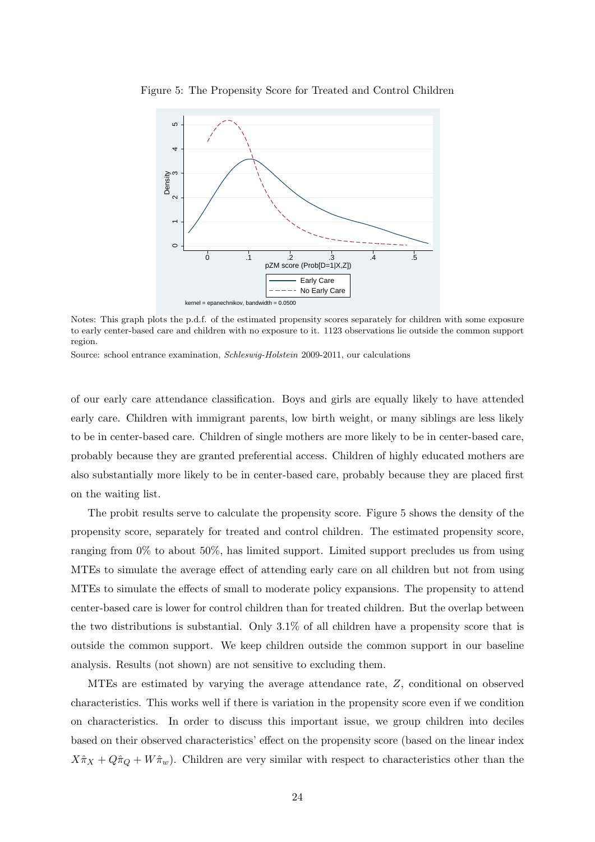

Figure 5: The Propensity Score for Treated and Control Children

Notes: This graph plots the p.d.f. of the estimated propensity scores separately for children with some exposure to early center-based care and children with no exposure to it. 1123 observations lie outside the common support region.

Source: school entrance examination, *Schleswig-Holstein* 2009-2011, our calculations

of our early care attendance classification. Boys and girls are equally likely to have attended early care. Children with immigrant parents, low birth weight, or many siblings are less likely to be in center-based care. Children of single mothers are more likely to be in center-based care, probably because they are granted preferential access. Children of highly educated mothers are also substantially more likely to be in center-based care, probably because they are placed first on the waiting list.

The probit results serve to calculate the propensity score. Figure 5 shows the density of the propensity score, separately for treated and control children. The estimated propensity score, ranging from 0% to about 50%, has limited support. Limited support precludes us from using MTEs to simulate the average effect of attending early care on all children but not from using MTEs to simulate the effects of small to moderate policy expansions. The propensity to attend center-based care is lower for control children than for treated children. But the overlap between the two distributions is substantial. Only 3.1% of all children have a propensity score that is outside the common support. We keep children outside the common support in our baseline analysis. Results (not shown) are not sensitive to excluding them.

MTEs are estimated by varying the average attendance rate, *Z*, conditional on observed characteristics. This works well if there is variation in the propensity score even if we condition on characteristics. In order to discuss this important issue, we group children into deciles based on their observed characteristics' effect on the propensity score (based on the linear index  $X\hat{\pi}_X + Q\hat{\pi}_Q + W\hat{\pi}_w$ . Children are very similar with respect to characteristics other than the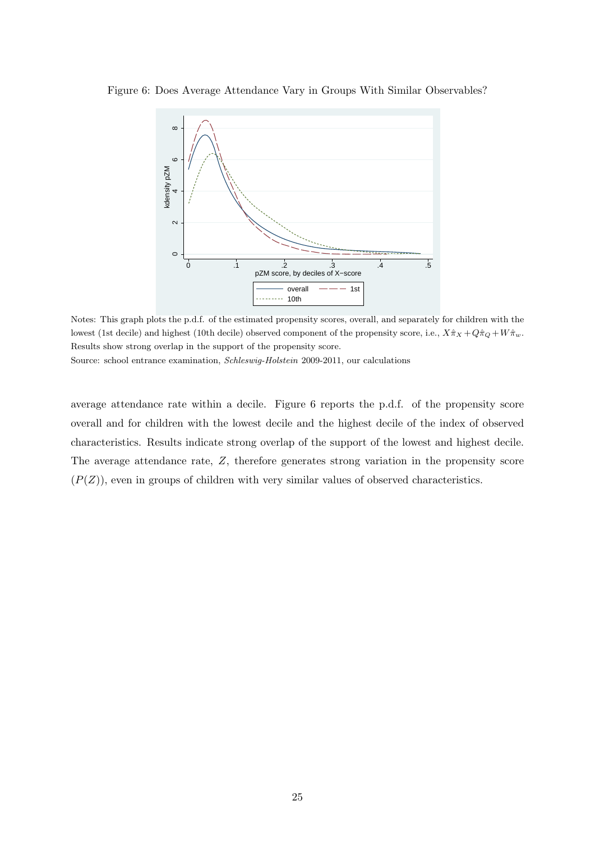

Figure 6: Does Average Attendance Vary in Groups With Similar Observables?

Notes: This graph plots the p.d.f. of the estimated propensity scores, overall, and separately for children with the lowest (1st decile) and highest (10th decile) observed component of the propensity score, i.e.,  $X\hat{\pi}_X + Q\hat{\pi}_Q + W\hat{\pi}_w$ . Results show strong overlap in the support of the propensity score.

Source: school entrance examination, *Schleswig-Holstein* 2009-2011, our calculations

average attendance rate within a decile. Figure 6 reports the p.d.f. of the propensity score overall and for children with the lowest decile and the highest decile of the index of observed characteristics. Results indicate strong overlap of the support of the lowest and highest decile. The average attendance rate, *Z*, therefore generates strong variation in the propensity score  $(P(Z))$ , even in groups of children with very similar values of observed characteristics.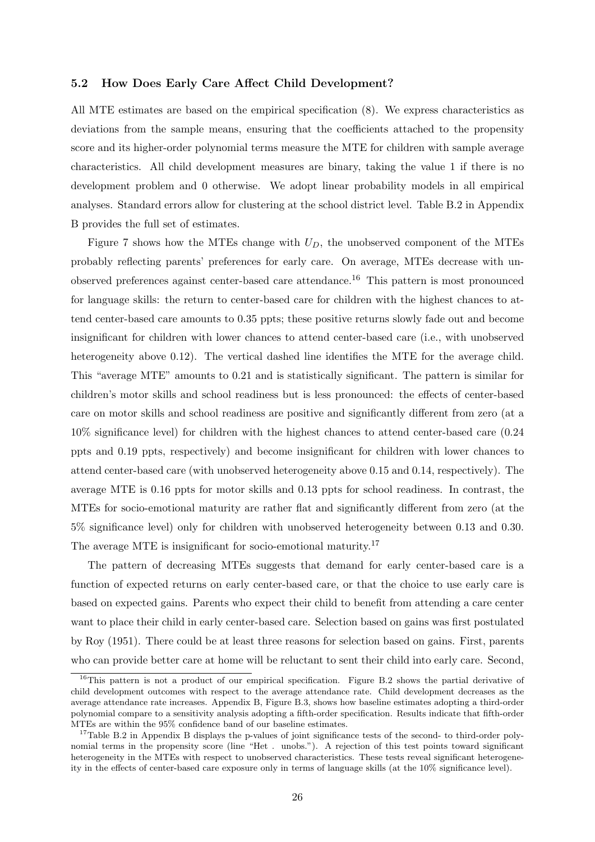#### **5.2 How Does Early Care Affect Child Development?**

All MTE estimates are based on the empirical specification (8). We express characteristics as deviations from the sample means, ensuring that the coefficients attached to the propensity score and its higher-order polynomial terms measure the MTE for children with sample average characteristics. All child development measures are binary, taking the value 1 if there is no development problem and 0 otherwise. We adopt linear probability models in all empirical analyses. Standard errors allow for clustering at the school district level. Table B.2 in Appendix B provides the full set of estimates.

Figure 7 shows how the MTEs change with  $U_D$ , the unobserved component of the MTEs probably reflecting parents' preferences for early care. On average, MTEs decrease with unobserved preferences against center-based care attendance.<sup>16</sup> This pattern is most pronounced for language skills: the return to center-based care for children with the highest chances to attend center-based care amounts to 0.35 ppts; these positive returns slowly fade out and become insignificant for children with lower chances to attend center-based care (i.e., with unobserved heterogeneity above 0.12). The vertical dashed line identifies the MTE for the average child. This "average MTE" amounts to 0.21 and is statistically significant. The pattern is similar for children's motor skills and school readiness but is less pronounced: the effects of center-based care on motor skills and school readiness are positive and significantly different from zero (at a 10% significance level) for children with the highest chances to attend center-based care (0.24 ppts and 0.19 ppts, respectively) and become insignificant for children with lower chances to attend center-based care (with unobserved heterogeneity above 0.15 and 0.14, respectively). The average MTE is 0.16 ppts for motor skills and 0.13 ppts for school readiness. In contrast, the MTEs for socio-emotional maturity are rather flat and significantly different from zero (at the 5% significance level) only for children with unobserved heterogeneity between 0.13 and 0.30. The average MTE is insignificant for socio-emotional maturity.<sup>17</sup>

The pattern of decreasing MTEs suggests that demand for early center-based care is a function of expected returns on early center-based care, or that the choice to use early care is based on expected gains. Parents who expect their child to benefit from attending a care center want to place their child in early center-based care. Selection based on gains was first postulated by Roy (1951). There could be at least three reasons for selection based on gains. First, parents who can provide better care at home will be reluctant to sent their child into early care. Second,

<sup>&</sup>lt;sup>16</sup>This pattern is not a product of our empirical specification. Figure B.2 shows the partial derivative of child development outcomes with respect to the average attendance rate. Child development decreases as the average attendance rate increases. Appendix B, Figure B.3, shows how baseline estimates adopting a third-order polynomial compare to a sensitivity analysis adopting a fifth-order specification. Results indicate that fifth-order MTEs are within the 95% confidence band of our baseline estimates.

<sup>&</sup>lt;sup>17</sup>Table B.2 in Appendix B displays the p-values of joint significance tests of the second- to third-order polynomial terms in the propensity score (line "Het . unobs."). A rejection of this test points toward significant heterogeneity in the MTEs with respect to unobserved characteristics. These tests reveal significant heterogeneity in the effects of center-based care exposure only in terms of language skills (at the 10% significance level).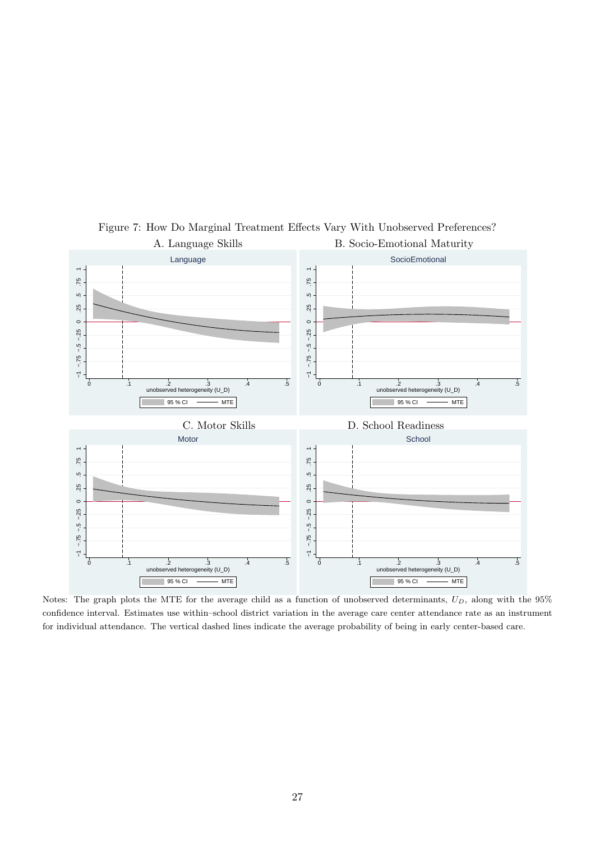

Figure 7: How Do Marginal Treatment Effects Vary With Unobserved Preferences?

Notes: The graph plots the MTE for the average child as a function of unobserved determinants, *UD*, along with the 95% confidence interval. Estimates use within–school district variation in the average care center attendance rate as an instrument for individual attendance. The vertical dashed lines indicate the average probability of being in early center-based care.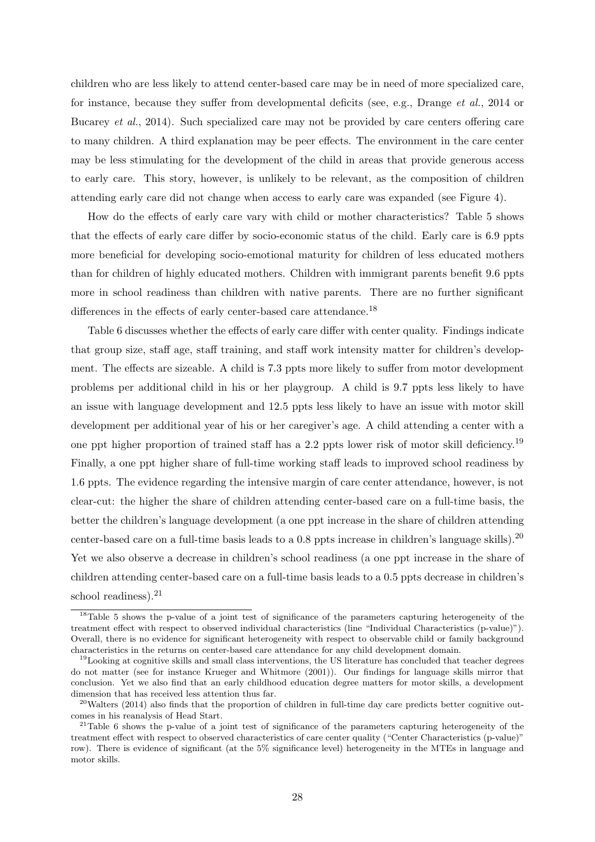children who are less likely to attend center-based care may be in need of more specialized care, for instance, because they suffer from developmental deficits (see, e.g., Drange *et al.*, 2014 or Bucarey *et al.*, 2014). Such specialized care may not be provided by care centers offering care to many children. A third explanation may be peer effects. The environment in the care center may be less stimulating for the development of the child in areas that provide generous access to early care. This story, however, is unlikely to be relevant, as the composition of children attending early care did not change when access to early care was expanded (see Figure 4).

How do the effects of early care vary with child or mother characteristics? Table 5 shows that the effects of early care differ by socio-economic status of the child. Early care is 6.9 ppts more beneficial for developing socio-emotional maturity for children of less educated mothers than for children of highly educated mothers. Children with immigrant parents benefit 9.6 ppts more in school readiness than children with native parents. There are no further significant differences in the effects of early center-based care attendance.<sup>18</sup>

Table 6 discusses whether the effects of early care differ with center quality. Findings indicate that group size, staff age, staff training, and staff work intensity matter for children's development. The effects are sizeable. A child is 7.3 ppts more likely to suffer from motor development problems per additional child in his or her playgroup. A child is 9.7 ppts less likely to have an issue with language development and 12.5 ppts less likely to have an issue with motor skill development per additional year of his or her caregiver's age. A child attending a center with a one ppt higher proportion of trained staff has a 2.2 ppts lower risk of motor skill deficiency.<sup>19</sup> Finally, a one ppt higher share of full-time working staff leads to improved school readiness by 1.6 ppts. The evidence regarding the intensive margin of care center attendance, however, is not clear-cut: the higher the share of children attending center-based care on a full-time basis, the better the children's language development (a one ppt increase in the share of children attending center-based care on a full-time basis leads to a  $0.8$  ppts increase in children's language skills).<sup>20</sup> Yet we also observe a decrease in children's school readiness (a one ppt increase in the share of children attending center-based care on a full-time basis leads to a 0.5 ppts decrease in children's school readiness).<sup>21</sup>

<sup>18</sup>Table 5 shows the p-value of a joint test of significance of the parameters capturing heterogeneity of the treatment effect with respect to observed individual characteristics (line "Individual Characteristics (p-value)"). Overall, there is no evidence for significant heterogeneity with respect to observable child or family background characteristics in the returns on center-based care attendance for any child development domain.

 $19$ Looking at cognitive skills and small class interventions, the US literature has concluded that teacher degrees do not matter (see for instance Krueger and Whitmore (2001)). Our findings for language skills mirror that conclusion. Yet we also find that an early childhood education degree matters for motor skills, a development dimension that has received less attention thus far.

 $^{20}$ Walters (2014) also finds that the proportion of children in full-time day care predicts better cognitive outcomes in his reanalysis of Head Start.

 $21$ Table 6 shows the p-value of a joint test of significance of the parameters capturing heterogeneity of the treatment effect with respect to observed characteristics of care center quality ("Center Characteristics (p-value)" row). There is evidence of significant (at the 5% significance level) heterogeneity in the MTEs in language and motor skills.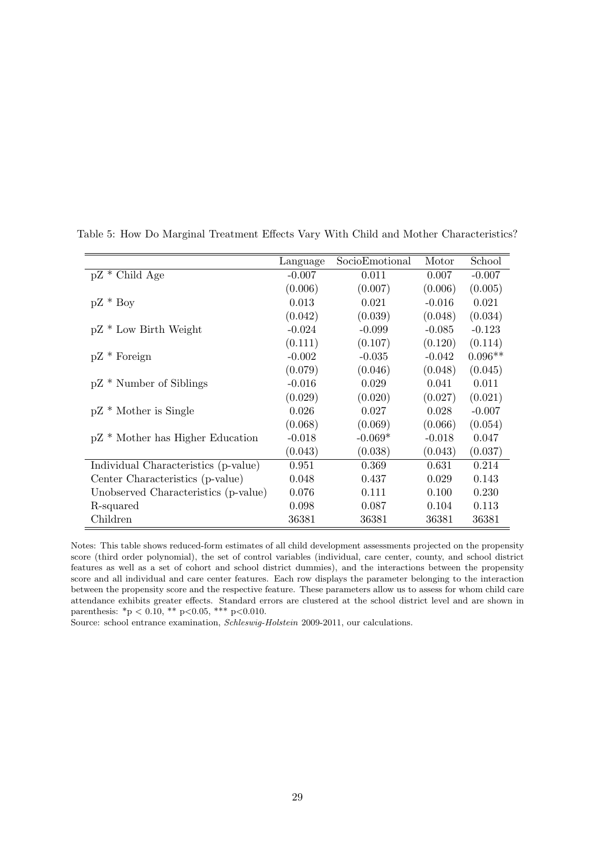|                                      | Language | SocioEmotional | Motor    | School    |
|--------------------------------------|----------|----------------|----------|-----------|
| $pZ * Child Age$                     | $-0.007$ | 0.011          | 0.007    | $-0.007$  |
|                                      | (0.006)  | (0.007)        | (0.006)  | (0.005)   |
| $pZ * Boy$                           | 0.013    | 0.021          | $-0.016$ | 0.021     |
|                                      | (0.042)  | (0.039)        | (0.048)  | (0.034)   |
| $pZ * Low Birth Weight$              | $-0.024$ | $-0.099$       | $-0.085$ | $-0.123$  |
|                                      | (0.111)  | (0.107)        | (0.120)  | (0.114)   |
| $pZ * \text{Foreign}$                | $-0.002$ | $-0.035$       | $-0.042$ | $0.096**$ |
|                                      | (0.079)  | (0.046)        | (0.048)  | (0.045)   |
| $pZ *$ Number of Siblings            | $-0.016$ | 0.029          | 0.041    | 0.011     |
|                                      | (0.029)  | (0.020)        | (0.027)  | (0.021)   |
| $pZ * Mother$ is Single              | 0.026    | 0.027          | 0.028    | $-0.007$  |
|                                      | (0.068)  | (0.069)        | (0.066)  | (0.054)   |
| pZ * Mother has Higher Education     | $-0.018$ | $-0.069*$      | $-0.018$ | 0.047     |
|                                      | (0.043)  | (0.038)        | (0.043)  | (0.037)   |
| Individual Characteristics (p-value) | 0.951    | 0.369          | 0.631    | 0.214     |
| Center Characteristics (p-value)     | 0.048    | 0.437          | 0.029    | 0.143     |
| Unobserved Characteristics (p-value) | 0.076    | 0.111          | 0.100    | 0.230     |
| R-squared                            | 0.098    | 0.087          | 0.104    | 0.113     |
| Children                             | 36381    | 36381          | 36381    | 36381     |

Table 5: How Do Marginal Treatment Effects Vary With Child and Mother Characteristics?

Notes: This table shows reduced-form estimates of all child development assessments projected on the propensity score (third order polynomial), the set of control variables (individual, care center, county, and school district features as well as a set of cohort and school district dummies), and the interactions between the propensity score and all individual and care center features. Each row displays the parameter belonging to the interaction between the propensity score and the respective feature. These parameters allow us to assess for whom child care attendance exhibits greater effects. Standard errors are clustered at the school district level and are shown in parenthesis: \*p < 0.10, \*\* p<0.05, \*\*\* p<0.010.

Source: school entrance examination, *Schleswig-Holstein* 2009-2011, our calculations.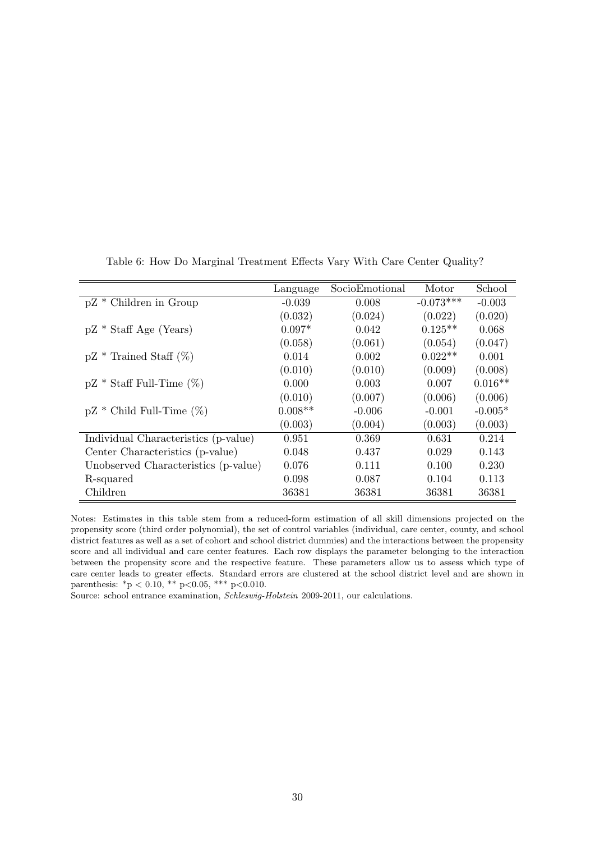|                                      | Language  | SocioEmotional | Motor       | School    |
|--------------------------------------|-----------|----------------|-------------|-----------|
| $pZ *$ Children in Group             | $-0.039$  | 0.008          | $-0.073***$ | $-0.003$  |
|                                      | (0.032)   | (0.024)        | (0.022)     | (0.020)   |
| $pZ * \text{Staff Age}$ (Years)      | $0.097*$  | 0.042          | $0.125**$   | 0.068     |
|                                      | (0.058)   | (0.061)        | (0.054)     | (0.047)   |
| $pZ * T_{\text{rained Staff}} (\%)$  | 0.014     | 0.002          | $0.022**$   | 0.001     |
|                                      | (0.010)   | (0.010)        | (0.009)     | (0.008)   |
| $pZ * \text{Staff Full-Time } (\%)$  | 0.000     | 0.003          | 0.007       | $0.016**$ |
|                                      | (0.010)   | (0.007)        | (0.006)     | (0.006)   |
| $pZ *$ Child Full-Time $(\%)$        | $0.008**$ | $-0.006$       | $-0.001$    | $-0.005*$ |
|                                      | (0.003)   | (0.004)        | (0.003)     | (0.003)   |
| Individual Characteristics (p-value) | 0.951     | 0.369          | 0.631       | 0.214     |
| Center Characteristics (p-value)     | 0.048     | 0.437          | 0.029       | 0.143     |
| Unobserved Characteristics (p-value) | 0.076     | 0.111          | 0.100       | 0.230     |
| R-squared                            | 0.098     | 0.087          | 0.104       | 0.113     |
| Children                             | 36381     | 36381          | 36381       | 36381     |

Table 6: How Do Marginal Treatment Effects Vary With Care Center Quality?

Notes: Estimates in this table stem from a reduced-form estimation of all skill dimensions projected on the propensity score (third order polynomial), the set of control variables (individual, care center, county, and school district features as well as a set of cohort and school district dummies) and the interactions between the propensity score and all individual and care center features. Each row displays the parameter belonging to the interaction between the propensity score and the respective feature. These parameters allow us to assess which type of care center leads to greater effects. Standard errors are clustered at the school district level and are shown in parenthesis: \*p *<* 0.10, \*\* p*<*0.05, \*\*\* p*<*0.010.

Source: school entrance examination, *Schleswig-Holstein* 2009-2011, our calculations.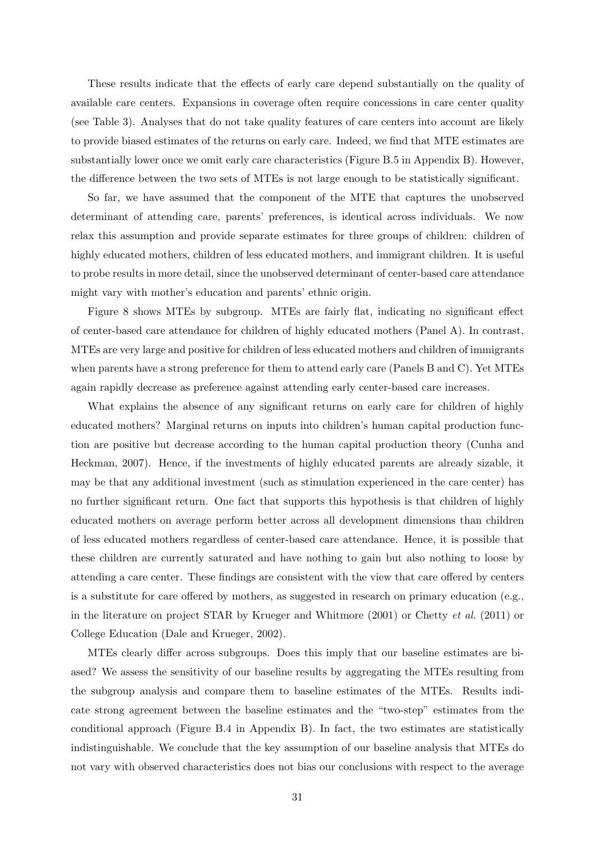These results indicate that the effects of early care depend substantially on the quality of available care centers. Expansions in coverage often require concessions in care center quality (see Table 3). Analyses that do not take quality features of care centers into account are likely to provide biased estimates of the returns on early care. Indeed, we find that MTE estimates are substantially lower once we omit early care characteristics (Figure B.5 in Appendix B). However, the difference between the two sets of MTEs is not large enough to be statistically significant.

So far, we have assumed that the component of the MTE that captures the unobserved determinant of attending care, parents' preferences, is identical across individuals. We now relax this assumption and provide separate estimates for three groups of children: children of highly educated mothers, children of less educated mothers, and immigrant children. It is useful to probe results in more detail, since the unobserved determinant of center-based care attendance might vary with mother's education and parents' ethnic origin.

Figure 8 shows MTEs by subgroup. MTEs are fairly flat, indicating no significant effect of center-based care attendance for children of highly educated mothers (Panel A). In contrast, MTEs are very large and positive for children of less educated mothers and children of immigrants when parents have a strong preference for them to attend early care (Panels B and C). Yet MTEs again rapidly decrease as preference against attending early center-based care increases.

What explains the absence of any significant returns on early care for children of highly educated mothers? Marginal returns on inputs into children's human capital production function are positive but decrease according to the human capital production theory (Cunha and Heckman, 2007). Hence, if the investments of highly educated parents are already sizable, it may be that any additional investment (such as stimulation experienced in the care center) has no further significant return. One fact that supports this hypothesis is that children of highly educated mothers on average perform better across all development dimensions than children of less educated mothers regardless of center-based care attendance. Hence, it is possible that these children are currently saturated and have nothing to gain but also nothing to loose by attending a care center. These findings are consistent with the view that care offered by centers is a substitute for care offered by mothers, as suggested in research on primary education (e.g., in the literature on project STAR by Krueger and Whitmore (2001) or Chetty *et al.* (2011) or College Education (Dale and Krueger, 2002).

MTEs clearly differ across subgroups. Does this imply that our baseline estimates are biased? We assess the sensitivity of our baseline results by aggregating the MTEs resulting from the subgroup analysis and compare them to baseline estimates of the MTEs. Results indicate strong agreement between the baseline estimates and the "two-step" estimates from the conditional approach (Figure B.4 in Appendix B). In fact, the two estimates are statistically indistinguishable. We conclude that the key assumption of our baseline analysis that MTEs do not vary with observed characteristics does not bias our conclusions with respect to the average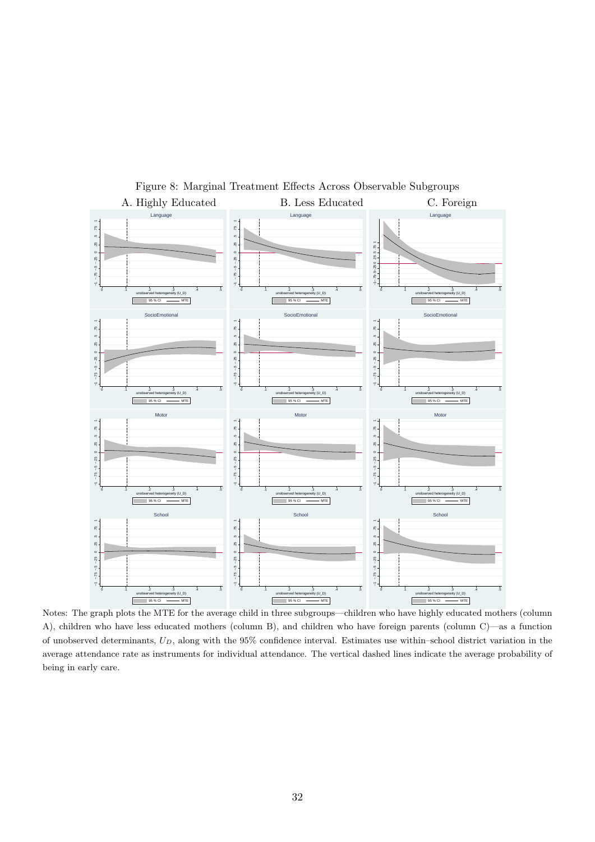

Figure 8: Marginal Treatment Effects Across Observable Subgroups

Notes: The graph plots the MTE for the average child in three subgroups—children who have highly educated mothers (column A), children who have less educated mothers (column B), and children who have foreign parents (column C)—as a function of unobserved determinants, *UD*, along with the 95% confidence interval. Estimates use within–school district variation in the average attendance rate as instruments for individual attendance. The vertical dashed lines indicate the average probability of being in early care.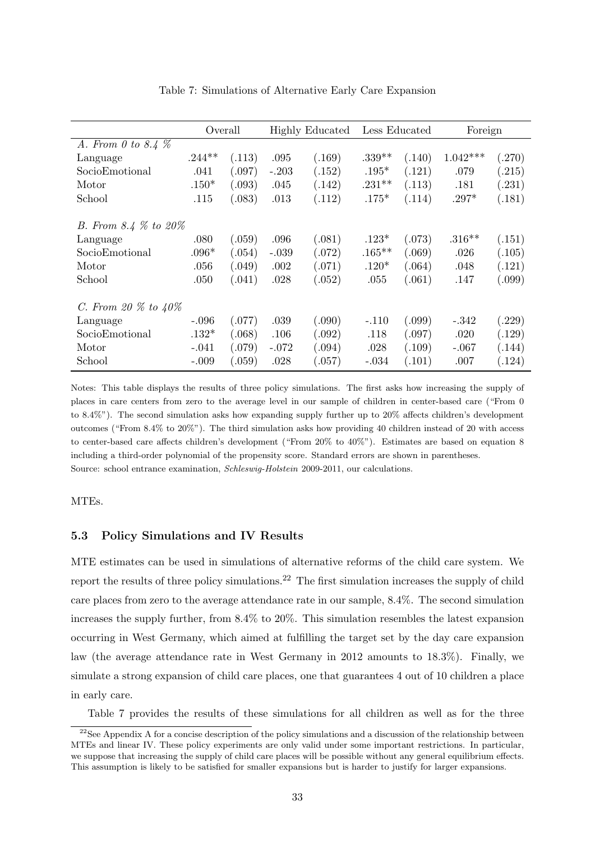|                           |          | Overall<br><b>Highly Educated</b><br>Less Educated |         |        |           |        |            |        | Foreign |  |
|---------------------------|----------|----------------------------------------------------|---------|--------|-----------|--------|------------|--------|---------|--|
| A. From 0 to 8.4 $%$      |          |                                                    |         |        |           |        |            |        |         |  |
| Language                  | $.244**$ | (.113)                                             | .095    | (.169) | $.339**$  | (.140) | $1.042***$ | (.270) |         |  |
| SocioEmotional            | .041     | (.097)                                             | $-.203$ | (.152) | $.195*$   | (.121) | .079       | (.215) |         |  |
| Motor                     | $.150*$  | (.093)                                             | .045    | (.142) | $.231**$  | (.113) | .181       | (.231) |         |  |
| School                    | .115     | (.083)                                             | .013    | (.112) | $.175*$   | (.114) | $.297*$    | (.181) |         |  |
| B. From 8.4 $%$ to 20%    |          |                                                    |         |        |           |        |            |        |         |  |
| Language                  | .080     | (.059)                                             | .096    | (.081) | $.123*$   | (.073) | $.316**$   | (.151) |         |  |
| SocioEmotional            | $.096*$  | (.054)                                             | $-.039$ | (.072) | $.165***$ | (.069) | .026       | (.105) |         |  |
| Motor                     | .056     | (.049)                                             | .002    | (.071) | $.120*$   | (.064) | .048       | (.121) |         |  |
| School                    | .050     | (.041)                                             | .028    | (.052) | .055      | (.061) | .147       | (.099) |         |  |
| C. From 20 $\%$ to $40\%$ |          |                                                    |         |        |           |        |            |        |         |  |
| Language                  | $-.096$  | (.077)                                             | .039    | (.090) | $-.110$   | (.099) | $-.342$    | (.229) |         |  |
| SocioEmotional            | $.132*$  | (.068)                                             | .106    | (.092) | .118      | (.097) | .020       | (.129) |         |  |
| Motor                     | $-.041$  | (.079)                                             | $-.072$ | (.094) | .028      | (.109) | $-.067$    | (.144) |         |  |
| School                    | $-.009$  | (.059)                                             | .028    | (.057) | $-.034$   | (.101) | .007       | (.124) |         |  |

Table 7: Simulations of Alternative Early Care Expansion

Notes: This table displays the results of three policy simulations. The first asks how increasing the supply of places in care centers from zero to the average level in our sample of children in center-based care ("From 0 to 8.4%"). The second simulation asks how expanding supply further up to 20% affects children's development outcomes ("From 8.4% to 20%"). The third simulation asks how providing 40 children instead of 20 with access to center-based care affects children's development ("From 20% to 40%"). Estimates are based on equation 8 including a third-order polynomial of the propensity score. Standard errors are shown in parentheses. Source: school entrance examination, *Schleswig-Holstein* 2009-2011, our calculations.

MTEs.

#### **5.3 Policy Simulations and IV Results**

MTE estimates can be used in simulations of alternative reforms of the child care system. We report the results of three policy simulations.<sup>22</sup> The first simulation increases the supply of child care places from zero to the average attendance rate in our sample, 8.4%. The second simulation increases the supply further, from 8.4% to 20%. This simulation resembles the latest expansion occurring in West Germany, which aimed at fulfilling the target set by the day care expansion law (the average attendance rate in West Germany in 2012 amounts to 18.3%). Finally, we simulate a strong expansion of child care places, one that guarantees 4 out of 10 children a place in early care.

Table 7 provides the results of these simulations for all children as well as for the three

 $22$ See Appendix A for a concise description of the policy simulations and a discussion of the relationship between MTEs and linear IV. These policy experiments are only valid under some important restrictions. In particular, we suppose that increasing the supply of child care places will be possible without any general equilibrium effects. This assumption is likely to be satisfied for smaller expansions but is harder to justify for larger expansions.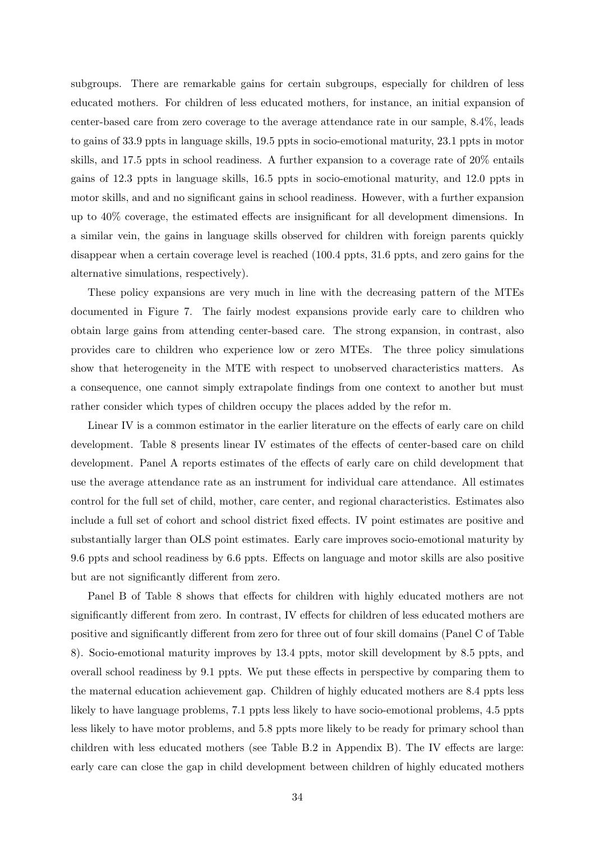subgroups. There are remarkable gains for certain subgroups, especially for children of less educated mothers. For children of less educated mothers, for instance, an initial expansion of center-based care from zero coverage to the average attendance rate in our sample, 8.4%, leads to gains of 33.9 ppts in language skills, 19.5 ppts in socio-emotional maturity, 23.1 ppts in motor skills, and 17.5 ppts in school readiness. A further expansion to a coverage rate of 20% entails gains of 12.3 ppts in language skills, 16.5 ppts in socio-emotional maturity, and 12.0 ppts in motor skills, and and no significant gains in school readiness. However, with a further expansion up to 40% coverage, the estimated effects are insignificant for all development dimensions. In a similar vein, the gains in language skills observed for children with foreign parents quickly disappear when a certain coverage level is reached (100.4 ppts, 31.6 ppts, and zero gains for the alternative simulations, respectively).

These policy expansions are very much in line with the decreasing pattern of the MTEs documented in Figure 7. The fairly modest expansions provide early care to children who obtain large gains from attending center-based care. The strong expansion, in contrast, also provides care to children who experience low or zero MTEs. The three policy simulations show that heterogeneity in the MTE with respect to unobserved characteristics matters. As a consequence, one cannot simply extrapolate findings from one context to another but must rather consider which types of children occupy the places added by the refor m.

Linear IV is a common estimator in the earlier literature on the effects of early care on child development. Table 8 presents linear IV estimates of the effects of center-based care on child development. Panel A reports estimates of the effects of early care on child development that use the average attendance rate as an instrument for individual care attendance. All estimates control for the full set of child, mother, care center, and regional characteristics. Estimates also include a full set of cohort and school district fixed effects. IV point estimates are positive and substantially larger than OLS point estimates. Early care improves socio-emotional maturity by 9.6 ppts and school readiness by 6.6 ppts. Effects on language and motor skills are also positive but are not significantly different from zero.

Panel B of Table 8 shows that effects for children with highly educated mothers are not significantly different from zero. In contrast, IV effects for children of less educated mothers are positive and significantly different from zero for three out of four skill domains (Panel C of Table 8). Socio-emotional maturity improves by 13.4 ppts, motor skill development by 8.5 ppts, and overall school readiness by 9.1 ppts. We put these effects in perspective by comparing them to the maternal education achievement gap. Children of highly educated mothers are 8.4 ppts less likely to have language problems, 7.1 ppts less likely to have socio-emotional problems, 4.5 ppts less likely to have motor problems, and 5.8 ppts more likely to be ready for primary school than children with less educated mothers (see Table B.2 in Appendix B). The IV effects are large: early care can close the gap in child development between children of highly educated mothers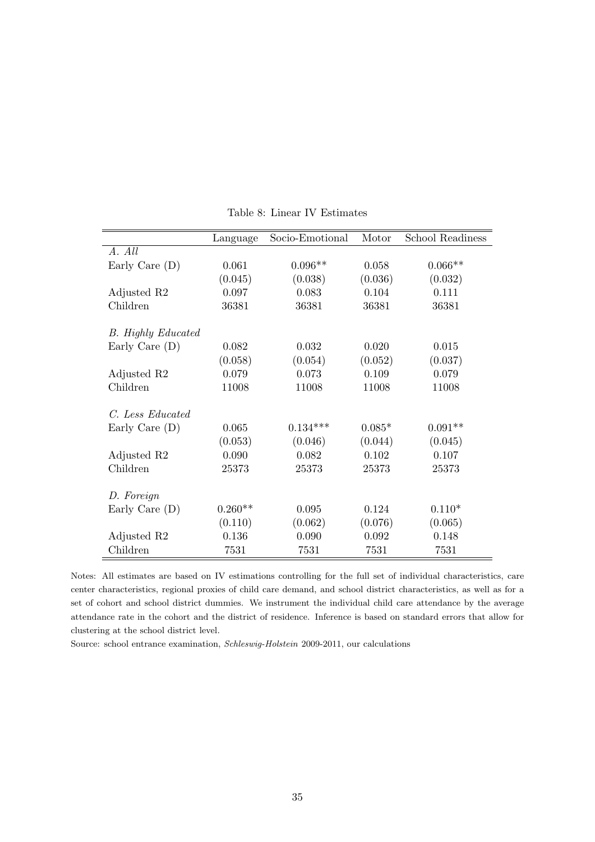|                           | Language  | Socio-Emotional | Motor    | School Readiness |
|---------------------------|-----------|-----------------|----------|------------------|
| A. All                    |           |                 |          |                  |
| Early Care (D)            | 0.061     | $0.096**$       | 0.058    | $0.066**$        |
|                           | (0.045)   | (0.038)         | (0.036)  | (0.032)          |
| Adjusted R2               | 0.097     | 0.083           | 0.104    | 0.111            |
| Children                  | 36381     | 36381           | 36381    | 36381            |
| <b>B.</b> Highly Educated |           |                 |          |                  |
|                           | 0.082     | 0.032           | 0.020    | 0.015            |
| Early Care $(D)$          |           |                 |          |                  |
|                           | (0.058)   | (0.054)         | (0.052)  | (0.037)          |
| Adjusted R2               | 0.079     | 0.073           | 0.109    | 0.079            |
| Children                  | 11008     | 11008           | 11008    | 11008            |
| C. Less Educated          |           |                 |          |                  |
| Early Care $(D)$          | 0.065     | $0.134***$      | $0.085*$ | $0.091**$        |
|                           | (0.053)   | (0.046)         | (0.044)  | (0.045)          |
| Adjusted R2               | 0.090     | 0.082           | 0.102    | 0.107            |
| Children                  | 25373     | 25373           | 25373    | 25373            |
|                           |           |                 |          |                  |
| D. Foreign                |           |                 |          |                  |
| Early Care $(D)$          | $0.260**$ | 0.095           | 0.124    | $0.110*$         |
|                           | (0.110)   | (0.062)         | (0.076)  | (0.065)          |
| Adjusted R2               | 0.136     | 0.090           | 0.092    | 0.148            |
| Children                  | 7531      | 7531            | 7531     | 7531             |

Table 8: Linear IV Estimates

Notes: All estimates are based on IV estimations controlling for the full set of individual characteristics, care center characteristics, regional proxies of child care demand, and school district characteristics, as well as for a set of cohort and school district dummies. We instrument the individual child care attendance by the average attendance rate in the cohort and the district of residence. Inference is based on standard errors that allow for clustering at the school district level.

Source: school entrance examination, *Schleswig-Holstein* 2009-2011, our calculations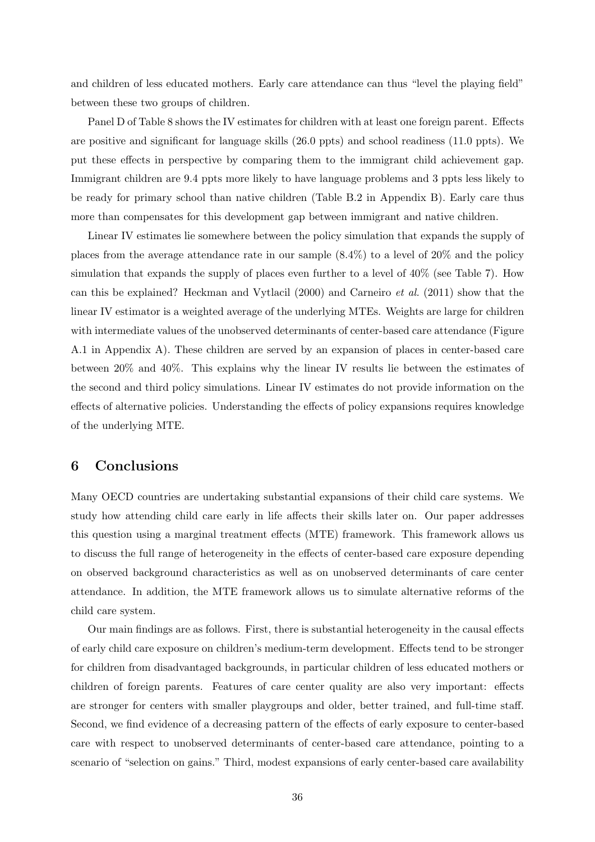and children of less educated mothers. Early care attendance can thus "level the playing field" between these two groups of children.

Panel D of Table 8 shows the IV estimates for children with at least one foreign parent. Effects are positive and significant for language skills (26.0 ppts) and school readiness (11.0 ppts). We put these effects in perspective by comparing them to the immigrant child achievement gap. Immigrant children are 9.4 ppts more likely to have language problems and 3 ppts less likely to be ready for primary school than native children (Table B.2 in Appendix B). Early care thus more than compensates for this development gap between immigrant and native children.

Linear IV estimates lie somewhere between the policy simulation that expands the supply of places from the average attendance rate in our sample (8.4%) to a level of 20% and the policy simulation that expands the supply of places even further to a level of 40% (see Table 7). How can this be explained? Heckman and Vytlacil (2000) and Carneiro *et al.* (2011) show that the linear IV estimator is a weighted average of the underlying MTEs. Weights are large for children with intermediate values of the unobserved determinants of center-based care attendance (Figure A.1 in Appendix A). These children are served by an expansion of places in center-based care between 20% and 40%. This explains why the linear IV results lie between the estimates of the second and third policy simulations. Linear IV estimates do not provide information on the effects of alternative policies. Understanding the effects of policy expansions requires knowledge of the underlying MTE.

### **6 Conclusions**

Many OECD countries are undertaking substantial expansions of their child care systems. We study how attending child care early in life affects their skills later on. Our paper addresses this question using a marginal treatment effects (MTE) framework. This framework allows us to discuss the full range of heterogeneity in the effects of center-based care exposure depending on observed background characteristics as well as on unobserved determinants of care center attendance. In addition, the MTE framework allows us to simulate alternative reforms of the child care system.

Our main findings are as follows. First, there is substantial heterogeneity in the causal effects of early child care exposure on children's medium-term development. Effects tend to be stronger for children from disadvantaged backgrounds, in particular children of less educated mothers or children of foreign parents. Features of care center quality are also very important: effects are stronger for centers with smaller playgroups and older, better trained, and full-time staff. Second, we find evidence of a decreasing pattern of the effects of early exposure to center-based care with respect to unobserved determinants of center-based care attendance, pointing to a scenario of "selection on gains." Third, modest expansions of early center-based care availability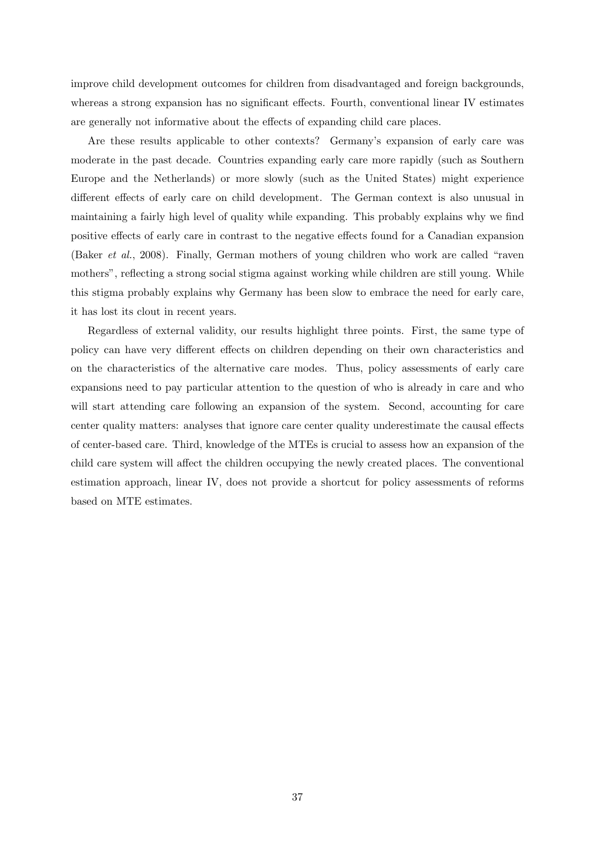improve child development outcomes for children from disadvantaged and foreign backgrounds, whereas a strong expansion has no significant effects. Fourth, conventional linear IV estimates are generally not informative about the effects of expanding child care places.

Are these results applicable to other contexts? Germany's expansion of early care was moderate in the past decade. Countries expanding early care more rapidly (such as Southern Europe and the Netherlands) or more slowly (such as the United States) might experience different effects of early care on child development. The German context is also unusual in maintaining a fairly high level of quality while expanding. This probably explains why we find positive effects of early care in contrast to the negative effects found for a Canadian expansion (Baker *et al.*, 2008). Finally, German mothers of young children who work are called "raven mothers", reflecting a strong social stigma against working while children are still young. While this stigma probably explains why Germany has been slow to embrace the need for early care, it has lost its clout in recent years.

Regardless of external validity, our results highlight three points. First, the same type of policy can have very different effects on children depending on their own characteristics and on the characteristics of the alternative care modes. Thus, policy assessments of early care expansions need to pay particular attention to the question of who is already in care and who will start attending care following an expansion of the system. Second, accounting for care center quality matters: analyses that ignore care center quality underestimate the causal effects of center-based care. Third, knowledge of the MTEs is crucial to assess how an expansion of the child care system will affect the children occupying the newly created places. The conventional estimation approach, linear IV, does not provide a shortcut for policy assessments of reforms based on MTE estimates.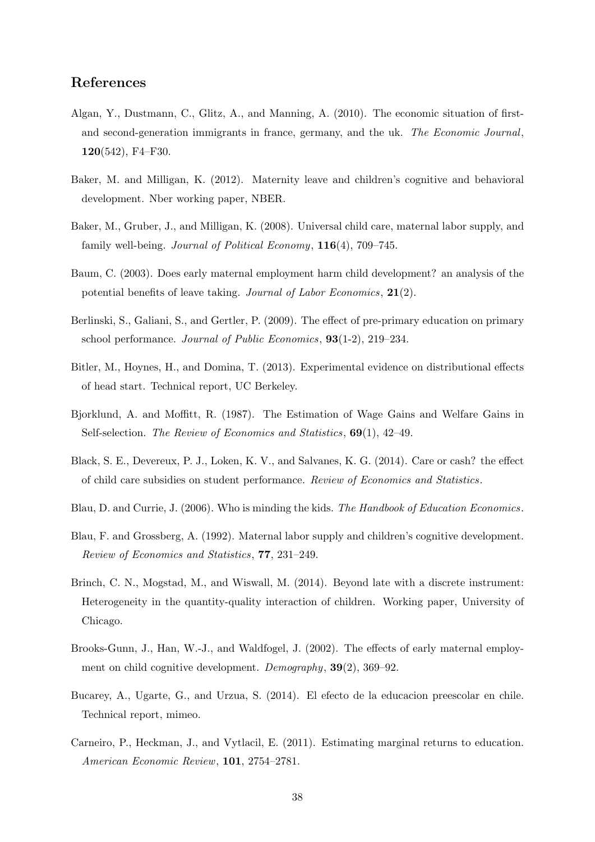# **References**

- Algan, Y., Dustmann, C., Glitz, A., and Manning, A. (2010). The economic situation of firstand second-generation immigrants in france, germany, and the uk. *The Economic Journal*, **120**(542), F4–F30.
- Baker, M. and Milligan, K. (2012). Maternity leave and children's cognitive and behavioral development. Nber working paper, NBER.
- Baker, M., Gruber, J., and Milligan, K. (2008). Universal child care, maternal labor supply, and family well-being. *Journal of Political Economy*, **116**(4), 709–745.
- Baum, C. (2003). Does early maternal employment harm child development? an analysis of the potential benefits of leave taking. *Journal of Labor Economics*, **21**(2).
- Berlinski, S., Galiani, S., and Gertler, P. (2009). The effect of pre-primary education on primary school performance. *Journal of Public Economics*, **93**(1-2), 219–234.
- Bitler, M., Hoynes, H., and Domina, T. (2013). Experimental evidence on distributional effects of head start. Technical report, UC Berkeley.
- Bjorklund, A. and Moffitt, R. (1987). The Estimation of Wage Gains and Welfare Gains in Self-selection. *The Review of Economics and Statistics*, **69**(1), 42–49.
- Black, S. E., Devereux, P. J., Loken, K. V., and Salvanes, K. G. (2014). Care or cash? the effect of child care subsidies on student performance. *Review of Economics and Statistics*.
- Blau, D. and Currie, J. (2006). Who is minding the kids. *The Handbook of Education Economics*.
- Blau, F. and Grossberg, A. (1992). Maternal labor supply and children's cognitive development. *Review of Economics and Statistics*, **77**, 231–249.
- Brinch, C. N., Mogstad, M., and Wiswall, M. (2014). Beyond late with a discrete instrument: Heterogeneity in the quantity-quality interaction of children. Working paper, University of Chicago.
- Brooks-Gunn, J., Han, W.-J., and Waldfogel, J. (2002). The effects of early maternal employment on child cognitive development. *Demography*, **39**(2), 369–92.
- Bucarey, A., Ugarte, G., and Urzua, S. (2014). El efecto de la educacion preescolar en chile. Technical report, mimeo.
- Carneiro, P., Heckman, J., and Vytlacil, E. (2011). Estimating marginal returns to education. *American Economic Review*, **101**, 2754–2781.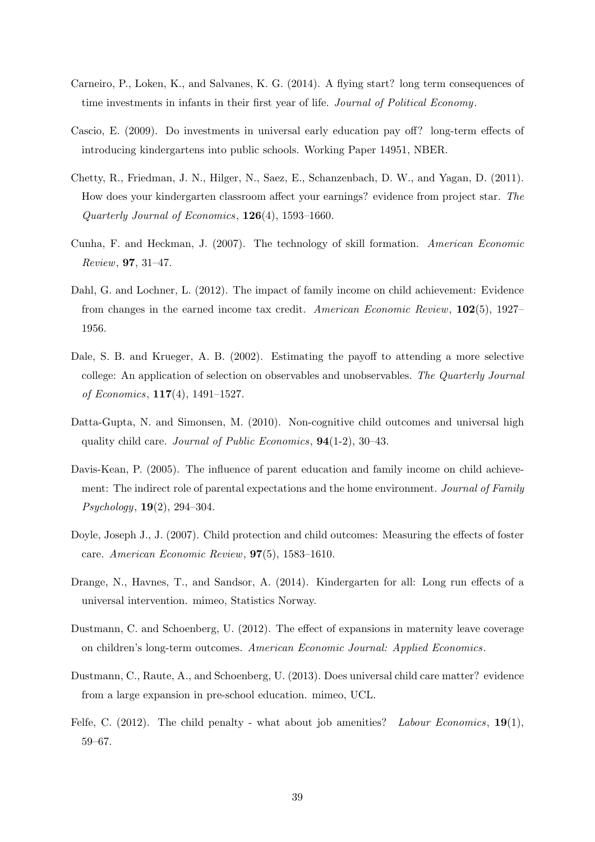- Carneiro, P., Loken, K., and Salvanes, K. G. (2014). A flying start? long term consequences of time investments in infants in their first year of life. *Journal of Political Economy*.
- Cascio, E. (2009). Do investments in universal early education pay off? long-term effects of introducing kindergartens into public schools. Working Paper 14951, NBER.
- Chetty, R., Friedman, J. N., Hilger, N., Saez, E., Schanzenbach, D. W., and Yagan, D. (2011). How does your kindergarten classroom affect your earnings? evidence from project star. *The Quarterly Journal of Economics*, **126**(4), 1593–1660.
- Cunha, F. and Heckman, J. (2007). The technology of skill formation. *American Economic Review*, **97**, 31–47.
- Dahl, G. and Lochner, L. (2012). The impact of family income on child achievement: Evidence from changes in the earned income tax credit. *American Economic Review*, **102**(5), 1927– 1956.
- Dale, S. B. and Krueger, A. B. (2002). Estimating the payoff to attending a more selective college: An application of selection on observables and unobservables. *The Quarterly Journal of Economics*, **117**(4), 1491–1527.
- Datta-Gupta, N. and Simonsen, M. (2010). Non-cognitive child outcomes and universal high quality child care. *Journal of Public Economics*, **94**(1-2), 30–43.
- Davis-Kean, P. (2005). The influence of parent education and family income on child achievement: The indirect role of parental expectations and the home environment. *Journal of Family Psychology*, **19**(2), 294–304.
- Doyle, Joseph J., J. (2007). Child protection and child outcomes: Measuring the effects of foster care. *American Economic Review*, **97**(5), 1583–1610.
- Drange, N., Havnes, T., and Sandsor, A. (2014). Kindergarten for all: Long run effects of a universal intervention. mimeo, Statistics Norway.
- Dustmann, C. and Schoenberg, U. (2012). The effect of expansions in maternity leave coverage on children's long-term outcomes. *American Economic Journal: Applied Economics*.
- Dustmann, C., Raute, A., and Schoenberg, U. (2013). Does universal child care matter? evidence from a large expansion in pre-school education. mimeo, UCL.
- Felfe, C. (2012). The child penalty what about job amenities? *Labour Economics*, **19**(1), 59–67.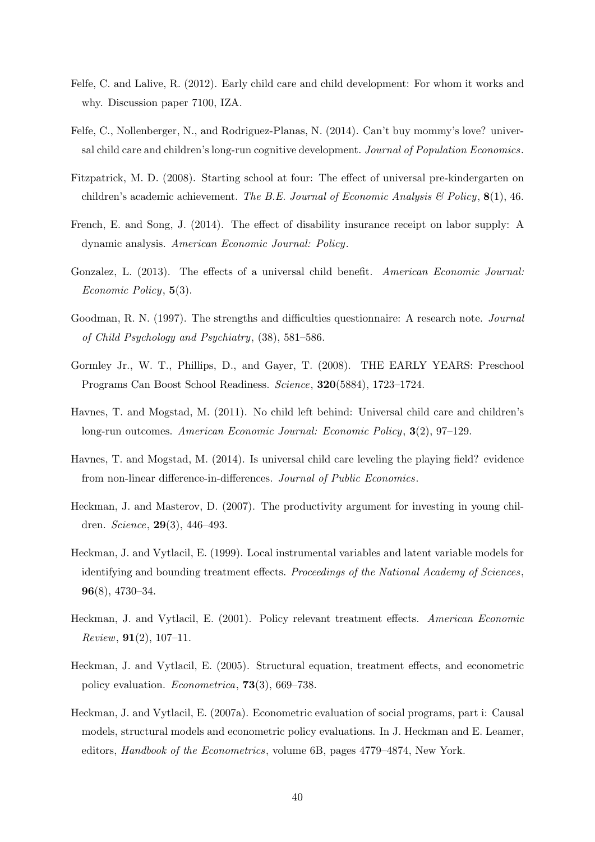- Felfe, C. and Lalive, R. (2012). Early child care and child development: For whom it works and why. Discussion paper 7100, IZA.
- Felfe, C., Nollenberger, N., and Rodriguez-Planas, N. (2014). Can't buy mommy's love? universal child care and children's long-run cognitive development. *Journal of Population Economics*.
- Fitzpatrick, M. D. (2008). Starting school at four: The effect of universal pre-kindergarten on children's academic achievement. *The B.E. Journal of Economic Analysis & Policy*, **8**(1), 46.
- French, E. and Song, J. (2014). The effect of disability insurance receipt on labor supply: A dynamic analysis. *American Economic Journal: Policy*.
- Gonzalez, L. (2013). The effects of a universal child benefit. *American Economic Journal: Economic Policy*, **5**(3).
- Goodman, R. N. (1997). The strengths and difficulties questionnaire: A research note. *Journal of Child Psychology and Psychiatry*, (38), 581–586.
- Gormley Jr., W. T., Phillips, D., and Gayer, T. (2008). THE EARLY YEARS: Preschool Programs Can Boost School Readiness. *Science*, **320**(5884), 1723–1724.
- Havnes, T. and Mogstad, M. (2011). No child left behind: Universal child care and children's long-run outcomes. *American Economic Journal: Economic Policy*, **3**(2), 97–129.
- Havnes, T. and Mogstad, M. (2014). Is universal child care leveling the playing field? evidence from non-linear difference-in-differences. *Journal of Public Economics*.
- Heckman, J. and Masterov, D. (2007). The productivity argument for investing in young children. *Science*, **29**(3), 446–493.
- Heckman, J. and Vytlacil, E. (1999). Local instrumental variables and latent variable models for identifying and bounding treatment effects. *Proceedings of the National Academy of Sciences*, **96**(8), 4730–34.
- Heckman, J. and Vytlacil, E. (2001). Policy relevant treatment effects. *American Economic Review*, **91**(2), 107–11.
- Heckman, J. and Vytlacil, E. (2005). Structural equation, treatment effects, and econometric policy evaluation. *Econometrica*, **73**(3), 669–738.
- Heckman, J. and Vytlacil, E. (2007a). Econometric evaluation of social programs, part i: Causal models, structural models and econometric policy evaluations. In J. Heckman and E. Leamer, editors, *Handbook of the Econometrics*, volume 6B, pages 4779–4874, New York.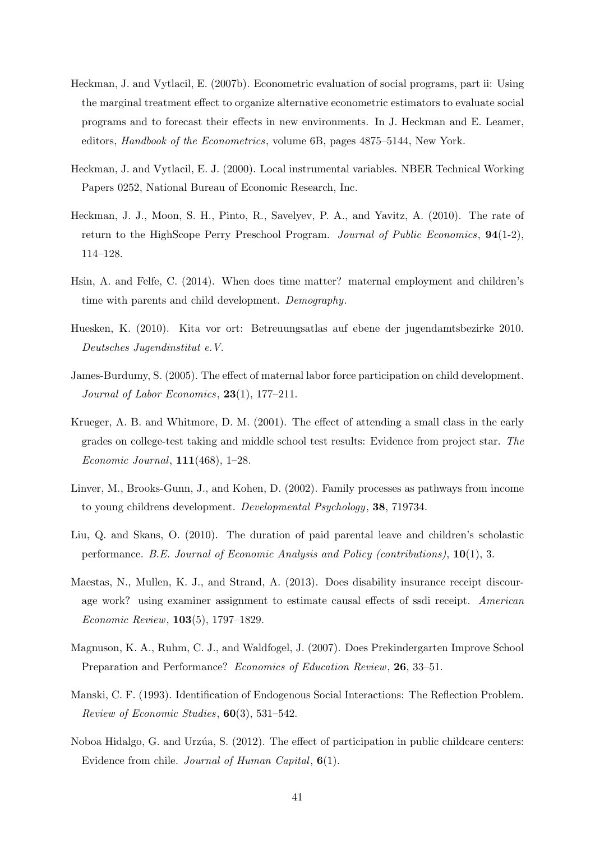- Heckman, J. and Vytlacil, E. (2007b). Econometric evaluation of social programs, part ii: Using the marginal treatment effect to organize alternative econometric estimators to evaluate social programs and to forecast their effects in new environments. In J. Heckman and E. Leamer, editors, *Handbook of the Econometrics*, volume 6B, pages 4875–5144, New York.
- Heckman, J. and Vytlacil, E. J. (2000). Local instrumental variables. NBER Technical Working Papers 0252, National Bureau of Economic Research, Inc.
- Heckman, J. J., Moon, S. H., Pinto, R., Savelyev, P. A., and Yavitz, A. (2010). The rate of return to the HighScope Perry Preschool Program. *Journal of Public Economics*, **94**(1-2), 114–128.
- Hsin, A. and Felfe, C. (2014). When does time matter? maternal employment and children's time with parents and child development. *Demography*.
- Huesken, K. (2010). Kita vor ort: Betreuungsatlas auf ebene der jugendamtsbezirke 2010. *Deutsches Jugendinstitut e.V.*
- James-Burdumy, S. (2005). The effect of maternal labor force participation on child development. *Journal of Labor Economics*, **23**(1), 177–211.
- Krueger, A. B. and Whitmore, D. M. (2001). The effect of attending a small class in the early grades on college-test taking and middle school test results: Evidence from project star. *The Economic Journal*, **111**(468), 1–28.
- Linver, M., Brooks-Gunn, J., and Kohen, D. (2002). Family processes as pathways from income to young childrens development. *Developmental Psychology*, **38**, 719734.
- Liu, Q. and Skans, O. (2010). The duration of paid parental leave and children's scholastic performance. *B.E. Journal of Economic Analysis and Policy (contributions)*, **10**(1), 3.
- Maestas, N., Mullen, K. J., and Strand, A. (2013). Does disability insurance receipt discourage work? using examiner assignment to estimate causal effects of ssdi receipt. *American Economic Review*, **103**(5), 1797–1829.
- Magnuson, K. A., Ruhm, C. J., and Waldfogel, J. (2007). Does Prekindergarten Improve School Preparation and Performance? *Economics of Education Review*, **26**, 33–51.
- Manski, C. F. (1993). Identification of Endogenous Social Interactions: The Reflection Problem. *Review of Economic Studies*, **60**(3), 531–542.
- Noboa Hidalgo, G. and Urzúa, S. (2012). The effect of participation in public childcare centers: Evidence from chile. *Journal of Human Capital*, **6**(1).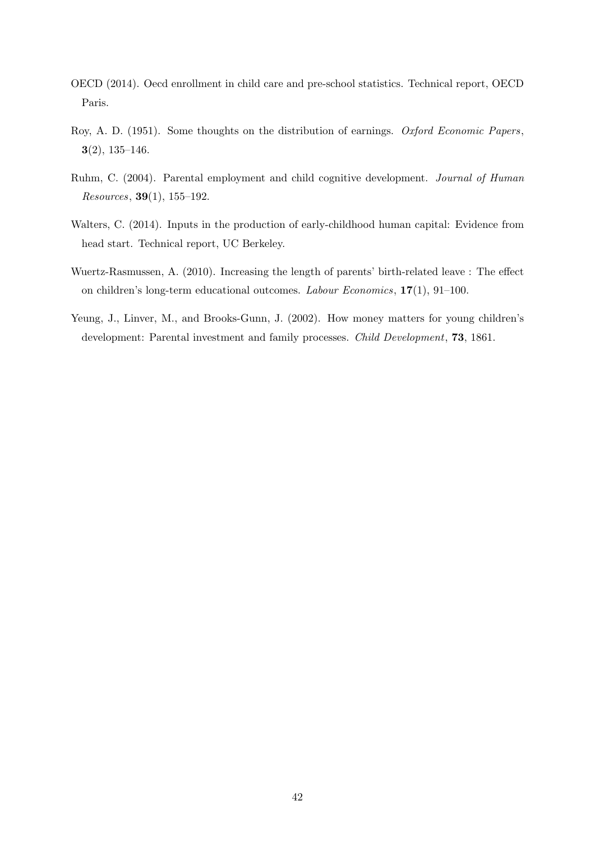- OECD (2014). Oecd enrollment in child care and pre-school statistics. Technical report, OECD Paris.
- Roy, A. D. (1951). Some thoughts on the distribution of earnings. *Oxford Economic Papers*, **3**(2), 135–146.
- Ruhm, C. (2004). Parental employment and child cognitive development. *Journal of Human Resources*, **39**(1), 155–192.
- Walters, C. (2014). Inputs in the production of early-childhood human capital: Evidence from head start. Technical report, UC Berkeley.
- Wuertz-Rasmussen, A. (2010). Increasing the length of parents' birth-related leave : The effect on children's long-term educational outcomes. *Labour Economics*, **17**(1), 91–100.
- Yeung, J., Linver, M., and Brooks-Gunn, J. (2002). How money matters for young children's development: Parental investment and family processes. *Child Development*, **73**, 1861.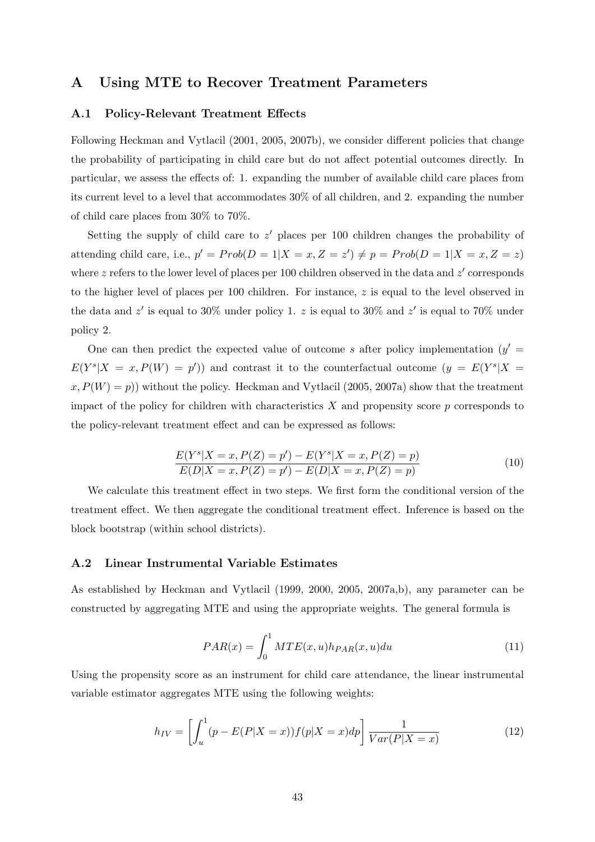# **A Using MTE to Recover Treatment Parameters**

#### **A.1 Policy-Relevant Treatment Effects**

Following Heckman and Vytlacil (2001, 2005, 2007b), we consider different policies that change the probability of participating in child care but do not affect potential outcomes directly. In particular, we assess the effects of: 1. expanding the number of available child care places from its current level to a level that accommodates 30% of all children, and 2. expanding the number of child care places from 30% to 70%.

Setting the supply of child care to *z ′* places per 100 children changes the probability of attending child care, i.e.,  $p' = Prob(D = 1 | X = x, Z = z') \neq p = Prob(D = 1 | X = x, Z = z)$ where *z* refers to the lower level of places per 100 children observed in the data and *z ′* corresponds to the higher level of places per 100 children. For instance, *z* is equal to the level observed in the data and *z ′* is equal to 30% under policy 1. *z* is equal to 30% and *z ′* is equal to 70% under policy 2.

One can then predict the expected value of outcome *s* after policy implementation  $(y' =$  $E(Y^s | X = x, P(W) = p')$  and contrast it to the counterfactual outcome  $(y = E(Y^s | X = x))$  $(x, P(W) = p)$ ) without the policy. Heckman and Vytlacil (2005, 2007a) show that the treatment impact of the policy for children with characteristics *X* and propensity score *p* corresponds to the policy-relevant treatment effect and can be expressed as follows:

$$
\frac{E(Y^s|X=x, P(Z)=p') - E(Y^s|X=x, P(Z)=p)}{E(D|X=x, P(Z)=p') - E(D|X=x, P(Z)=p)}\tag{10}
$$

We calculate this treatment effect in two steps. We first form the conditional version of the treatment effect. We then aggregate the conditional treatment effect. Inference is based on the block bootstrap (within school districts).

#### **A.2 Linear Instrumental Variable Estimates**

As established by Heckman and Vytlacil (1999, 2000, 2005, 2007a,b), any parameter can be constructed by aggregating MTE and using the appropriate weights. The general formula is

$$
PAR(x) = \int_0^1 MTE(x, u)h_{PAR}(x, u)du
$$
\n(11)

Using the propensity score as an instrument for child care attendance, the linear instrumental variable estimator aggregates MTE using the following weights:

$$
h_{IV} = \left[ \int_{u}^{1} (p - E(P|X=x)) f(p|X=x) dp \right] \frac{1}{Var(P|X=x)}
$$
(12)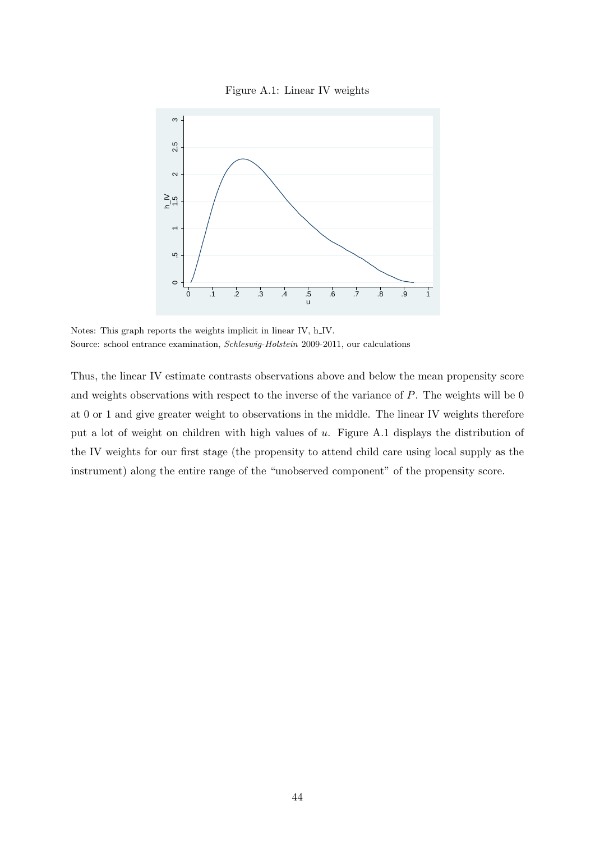



Notes: This graph reports the weights implicit in linear IV, h IV. Source: school entrance examination, *Schleswig-Holstein* 2009-2011, our calculations

Thus, the linear IV estimate contrasts observations above and below the mean propensity score and weights observations with respect to the inverse of the variance of *P*. The weights will be 0 at 0 or 1 and give greater weight to observations in the middle. The linear IV weights therefore put a lot of weight on children with high values of *u*. Figure A.1 displays the distribution of the IV weights for our first stage (the propensity to attend child care using local supply as the instrument) along the entire range of the "unobserved component" of the propensity score.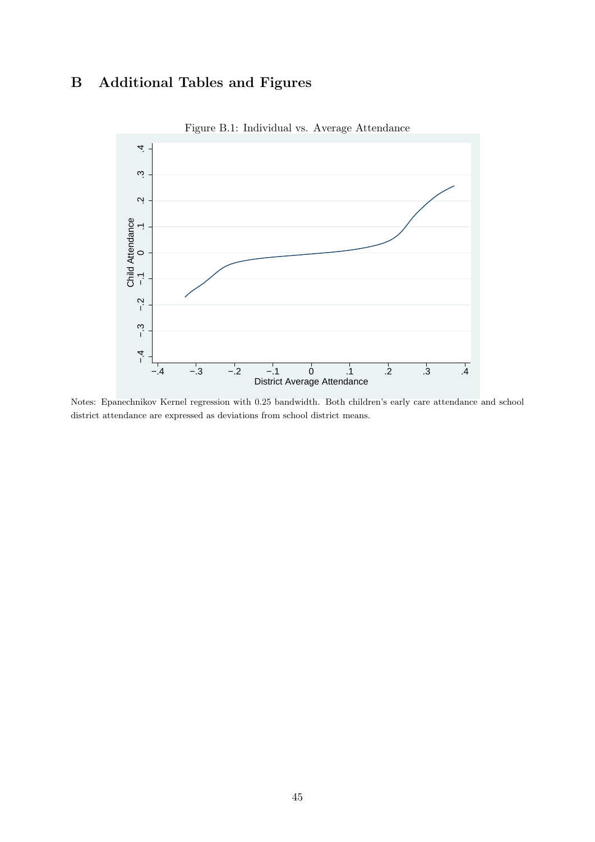# **B Additional Tables and Figures**



Figure B.1: Individual vs. Average Attendance

Notes: Epanechnikov Kernel regression with 0.25 bandwidth. Both children's early care attendance and school district attendance are expressed as deviations from school district means.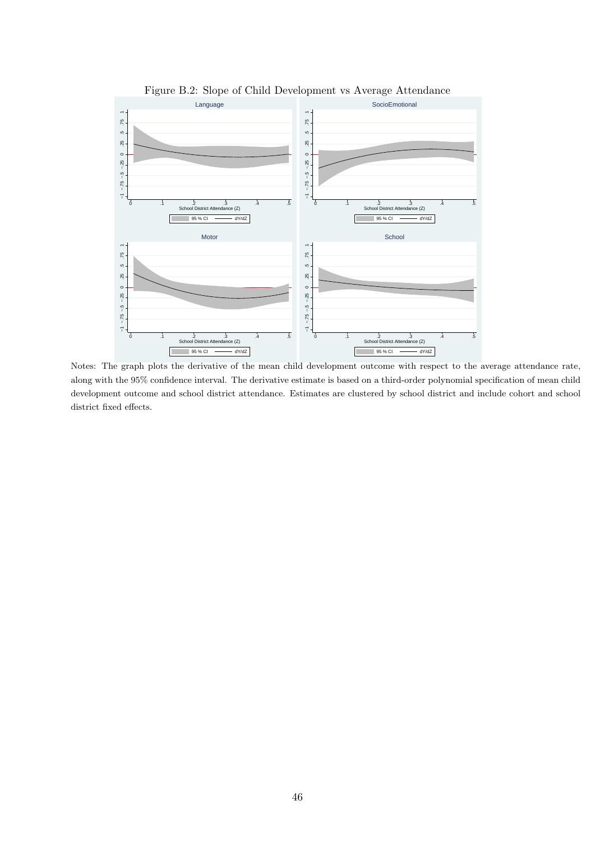

Figure B.2: Slope of Child Development vs Average Attendance

Notes: The graph plots the derivative of the mean child development outcome with respect to the average attendance rate, along with the 95% confidence interval. The derivative estimate is based on a third-order polynomial specification of mean child development outcome and school district attendance. Estimates are clustered by school district and include cohort and school district fixed effects.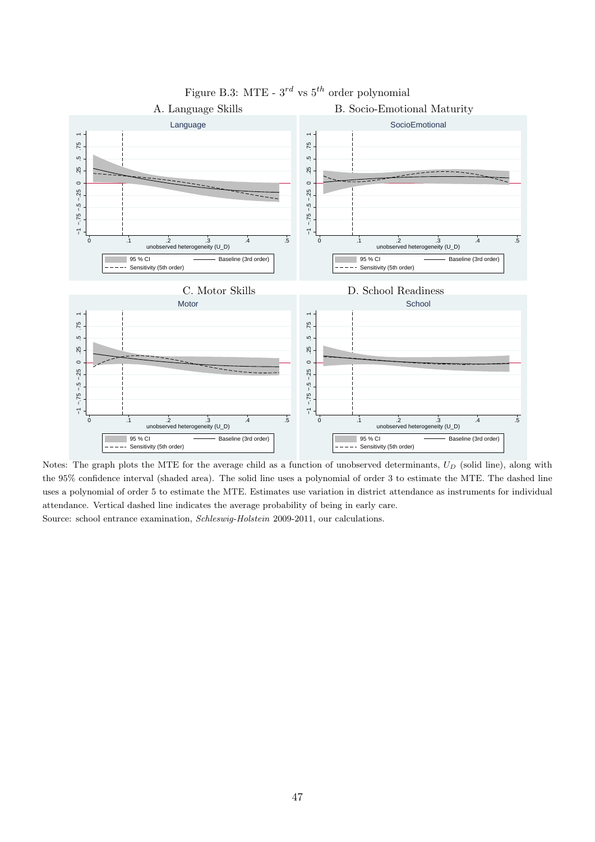

Figure B.3: MTE - 3*rd* vs 5*th* order polynomial

Notes: The graph plots the MTE for the average child as a function of unobserved determinants, *U<sup>D</sup>* (solid line), along with the 95% confidence interval (shaded area). The solid line uses a polynomial of order 3 to estimate the MTE. The dashed line uses a polynomial of order 5 to estimate the MTE. Estimates use variation in district attendance as instruments for individual attendance. Vertical dashed line indicates the average probability of being in early care. Source: school entrance examination, *Schleswig-Holstein* 2009-2011, our calculations.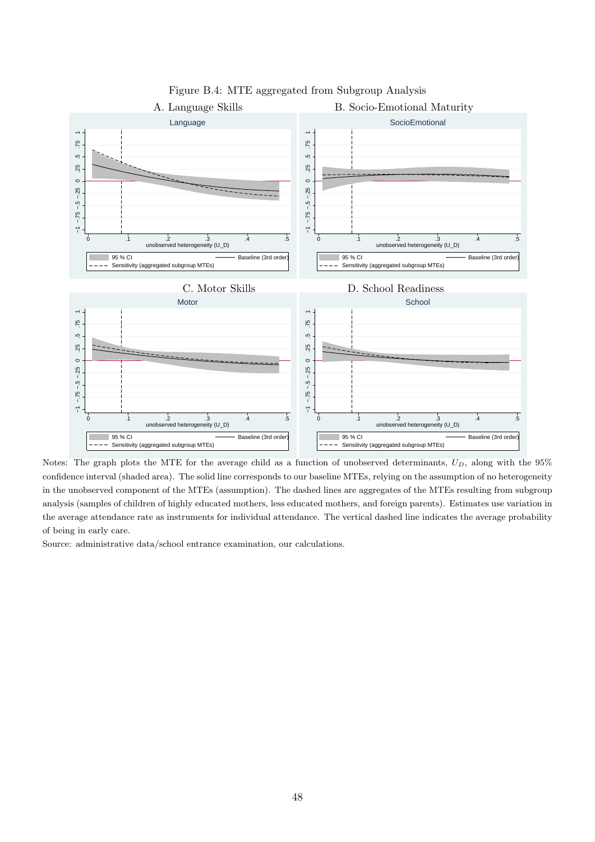

Figure B.4: MTE aggregated from Subgroup Analysis

Notes: The graph plots the MTE for the average child as a function of unobserved determinants, *UD*, along with the 95% confidence interval (shaded area). The solid line corresponds to our baseline MTEs, relying on the assumption of no heterogeneity in the unobserved component of the MTEs (assumption). The dashed lines are aggregates of the MTEs resulting from subgroup analysis (samples of children of highly educated mothers, less educated mothers, and foreign parents). Estimates use variation in the average attendance rate as instruments for individual attendance. The vertical dashed line indicates the average probability of being in early care.

Source: administrative data/school entrance examination, our calculations.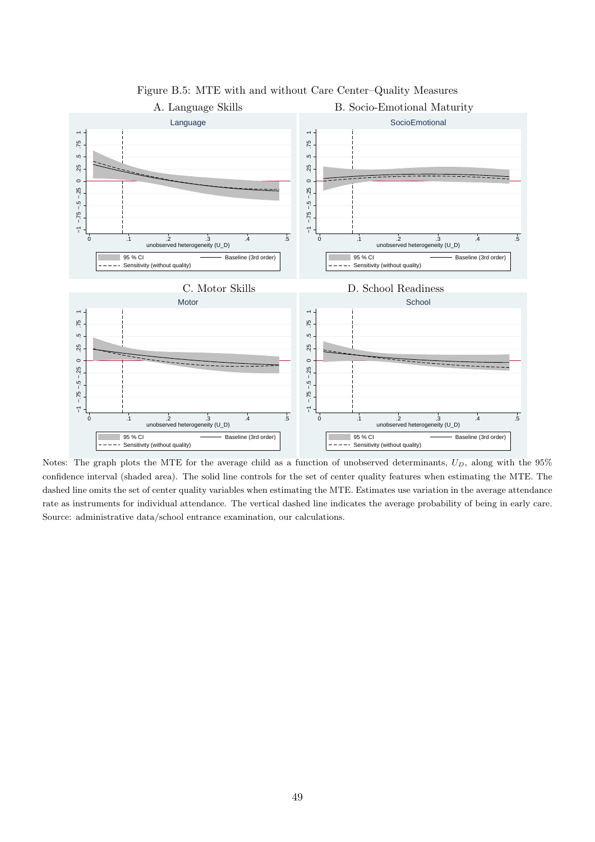

Figure B.5: MTE with and without Care Center–Quality Measures

Notes: The graph plots the MTE for the average child as a function of unobserved determinants, *UD*, along with the 95% confidence interval (shaded area). The solid line controls for the set of center quality features when estimating the MTE. The dashed line omits the set of center quality variables when estimating the MTE. Estimates use variation in the average attendance rate as instruments for individual attendance. The vertical dashed line indicates the average probability of being in early care. Source: administrative data/school entrance examination, our calculations.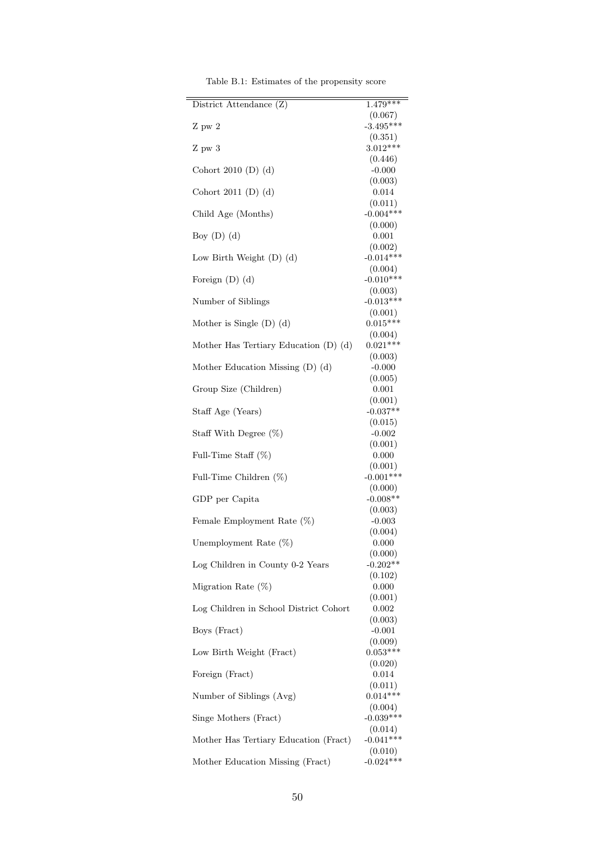| District Attendance (Z)                   | $1.479***$             |
|-------------------------------------------|------------------------|
| Z pw 2                                    | (0.067)<br>$-3.495***$ |
| $Z$ pw $3$                                | (0.351)<br>$3.012***$  |
|                                           | (0.446)                |
| Cohort 2010 (D) $(d)$                     | $-0.000$               |
| Cohort 2011 (D) $(d)$                     | (0.003)<br>0.014       |
|                                           | (0.011)                |
| Child Age (Months)                        | $-0.004***$<br>(0.000) |
| Boy $(D)$ $(d)$                           | 0.001                  |
| Low Birth Weight $(D)$ $(d)$              | (0.002)<br>$-0.014***$ |
|                                           | (0.004)                |
| Foreign $(D)$ $(d)$                       | $-0.010***$<br>(0.003) |
| Number of Siblings                        | $-0.013***$            |
|                                           | (0.001)<br>$0.015***$  |
| Mother is Single $(D)$ $(d)$              | (0.004)                |
| Mother Has Tertiary Education $(D)$ $(d)$ | $0.021***$             |
|                                           | (0.003)                |
| Mother Education Missing (D) (d)          | $-0.000$               |
|                                           | (0.005)                |
| Group Size (Children)                     | 0.001                  |
|                                           | (0.001)                |
| Staff Age (Years)                         | $-0.037**$<br>(0.015)  |
| Staff With Degree $(\%)$                  | $-0.002$               |
|                                           | (0.001)                |
| Full-Time Staff $(\%)$                    | 0.000                  |
|                                           | (0.001)<br>$-0.001***$ |
| Full-Time Children $(\%)$                 | (0.000)                |
| GDP per Capita                            | $-0.008**$             |
|                                           | (0.003)                |
| Female Employment Rate (%)                | $-0.003$               |
|                                           | (0.004)                |
| Unemployment Rate (%)                     | 0.000                  |
|                                           | (0.000)                |
| Log Children in County 0-2 Years          | $-0.202**$             |
| Migration Rate $(\%)$                     | (0.102)<br>0.000       |
|                                           | (0.001)                |
| Log Children in School District Cohort    | 0.002                  |
|                                           | (0.003)                |
| Boys (Fract)                              | $-0.001$               |
| Low Birth Weight (Fract)                  | (0.009)<br>$0.053***$  |
|                                           | (0.020)                |
| Foreign (Fract)                           | 0.014                  |
| Number of Siblings (Avg)                  | (0.011)<br>$0.014***$  |
|                                           | (0.004)                |
| Singe Mothers (Fract)                     | $-0.039***$            |
| Mother Has Tertiary Education (Fract)     | (0.014)<br>$-0.041***$ |
|                                           | (0.010)                |
| Mother Education Missing (Fract)          | $-0.024***$            |

Table B.1: Estimates of the propensity score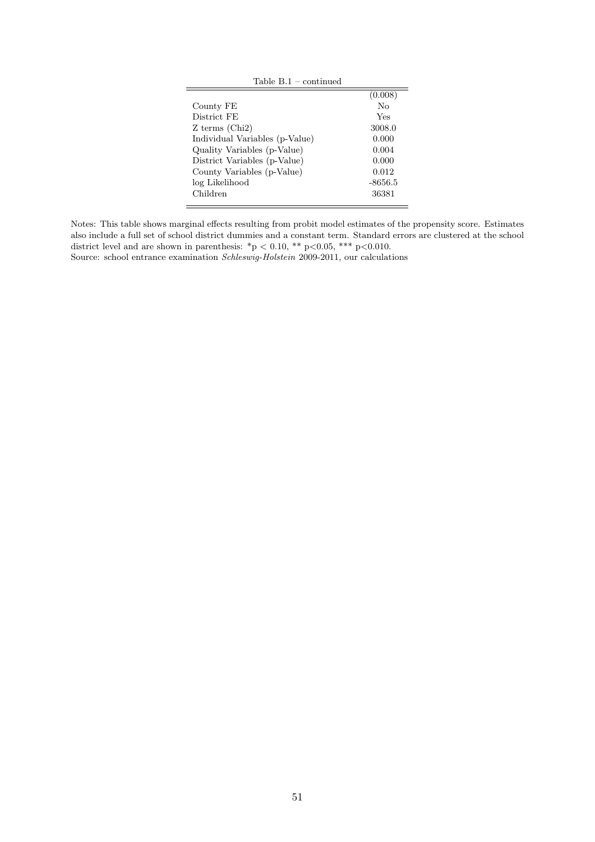| Table $B.1$ – continued        |                  |
|--------------------------------|------------------|
|                                | (0.008)          |
| County FE                      | $\rm N_{\Omega}$ |
| District FE                    | Yes              |
| $Z$ terms (Chi <sub>2</sub> )  | 3008.0           |
| Individual Variables (p-Value) | 0.000            |
| Quality Variables (p-Value)    | 0.004            |
| District Variables (p-Value)   | 0.000            |
| County Variables (p-Value)     | 0.012            |
| log Likelihood                 | $-8656.5$        |
| Children                       | 36381            |
|                                |                  |

Notes: This table shows marginal effects resulting from probit model estimates of the propensity score. Estimates also include a full set of school district dummies and a constant term. Standard errors are clustered at the school district level and are shown in parenthesis: \*p *<* 0.10, \*\* p*<*0.05, \*\*\* p*<*0.010.

Source: school entrance examination *Schleswig-Holstein* 2009-2011, our calculations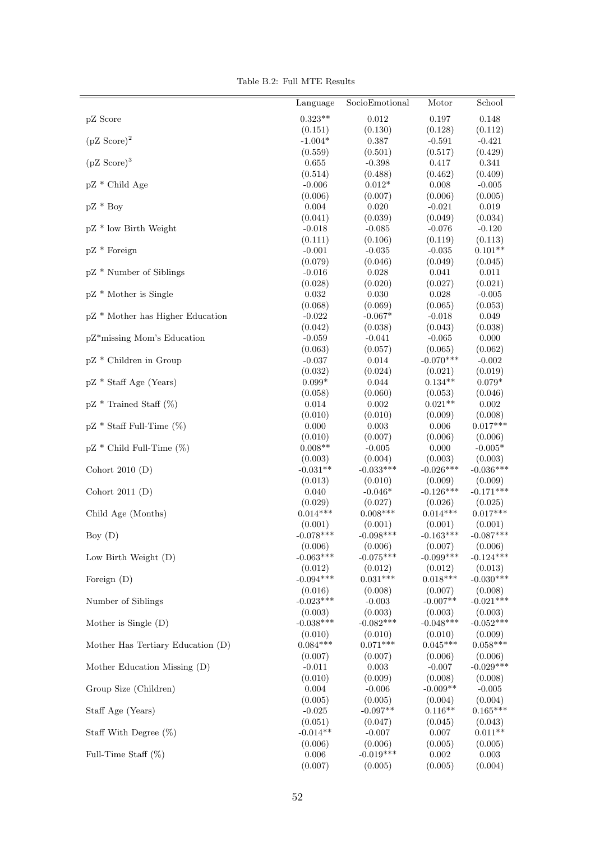|  |  | Table B.2: Full MTE Results |
|--|--|-----------------------------|
|  |  |                             |

|                                   | Language              | SocioEmotional        | Motor                  | School                 |
|-----------------------------------|-----------------------|-----------------------|------------------------|------------------------|
| pZ Score                          | $0.323**$             | 0.012                 | 0.197                  | 0.148                  |
|                                   | (0.151)               | (0.130)               | (0.128)                | (0.112)                |
| $(pZ \text{ Score})^2$            | $-1.004*$             | 0.387                 | $-0.591$               | $-0.421$               |
|                                   | (0.559)               | (0.501)               | (0.517)                | (0.429)                |
| $(pZ \text{ Score})^3$            | 0.655                 | $-0.398$              | 0.417                  | 0.341                  |
| pZ * Child Age                    | (0.514)<br>$-0.006$   | (0.488)<br>$0.012*$   | (0.462)<br>0.008       | (0.409)<br>$-0.005$    |
|                                   | (0.006)               | (0.007)               | (0.006)                | (0.005)                |
| $pZ * Boy$                        | 0.004                 | 0.020                 | $-0.021$               | $\,0.019\,$            |
|                                   | (0.041)               | (0.039)               | (0.049)                | (0.034)                |
| pZ * low Birth Weight             | $-0.018$              | $-0.085$              | $-0.076$               | $-0.120$               |
|                                   | (0.111)               | (0.106)               | (0.119)                | (0.113)                |
| $pZ *$ Foreign                    | $-0.001$              | $-0.035$              | $-0.035$               | $0.101**$              |
|                                   | (0.079)               | (0.046)               | (0.049)                | (0.045)                |
| pZ * Number of Siblings           | $-0.016$              | 0.028                 | 0.041                  | 0.011                  |
|                                   | (0.028)               | (0.020)               | (0.027)                | (0.021)                |
| pZ * Mother is Single             | 0.032                 | 0.030                 | 0.028                  | $\text{-}0.005$        |
|                                   | (0.068)               | (0.069)               | (0.065)                | (0.053)                |
| pZ * Mother has Higher Education  | $-0.022$<br>(0.042)   | $-0.067*$<br>(0.038)  | $-0.018$<br>(0.043)    | 0.049<br>(0.038)       |
| pZ*missing Mom's Education        | $-0.059$              | $-0.041$              | $-0.065$               | $0.000\,$              |
|                                   | (0.063)               | (0.057)               | (0.065)                | (0.062)                |
| pZ * Children in Group            | $-0.037$              | 0.014                 | $-0.070***$            | $-0.002$               |
|                                   | (0.032)               | (0.024)               | (0.021)                | (0.019)                |
| pZ * Staff Age (Years)            | $0.099*$              | 0.044                 | $0.134**$              | $0.079*$               |
|                                   | (0.058)               | (0.060)               | (0.053)                | (0.046)                |
| $pZ *$ Trained Staff $(\%)$       | 0.014                 | $0.002\,$             | $0.021**$              | $0.002\,$              |
|                                   | (0.010)               | (0.010)               | (0.009)                | (0.008)                |
| $pZ * Staff Full-Time (%)$        | 0.000                 | 0.003                 | 0.006                  | $0.017***$             |
|                                   | (0.010)               | (0.007)               | (0.006)                | (0.006)                |
| $pZ *$ Child Full-Time $(\%)$     | $0.008**$             | $-0.005$              | 0.000                  | $-0.005*$              |
|                                   | (0.003)               | (0.004)               | (0.003)                | (0.003)                |
| Cohort 2010 $(D)$                 | $-0.031**$            | $-0.033***$           | $-0.026***$            | $-0.036***$            |
| Cohort 2011 $(D)$                 | (0.013)<br>0.040      | (0.010)<br>$-0.046*$  | (0.009)<br>$-0.126***$ | (0.009)<br>$-0.171***$ |
|                                   | (0.029)               | (0.027)               | (0.026)                | (0.025)                |
| Child Age (Months)                | $0.014***$            | $0.008***$            | $0.014***$             | $0.017***$             |
|                                   | (0.001)               | (0.001)               | (0.001)                | (0.001)                |
| Boy $(D)$                         | $-0.078***$           | $-0.098***$           | $-0.163***$            | $-0.087***$            |
|                                   | (0.006)               | (0.006)               | (0.007)                | (0.006)                |
| Low Birth Weight (D)              | $-0.063***$           | $-0.075***$           | $-0.099***$            | $-0.124***$            |
|                                   | (0.012)               | (0.012)               | (0.012)                | (0.013)                |
| Foreign $(D)$                     | $-0.094***$           | $0.031***$            | $0.018***$             | $-0.030***$            |
|                                   | (0.016)               | (0.008)               | (0.007)                | (0.008)                |
| Number of Siblings                | $-0.023***$           | $-0.003$              | $-0.007**$             | $-0.021***$            |
|                                   | (0.003)               | (0.003)               | (0.003)                | (0.003)                |
| Mother is Single $(D)$            | $-0.038***$           | $-0.082***$           | $-0.048***$            | $-0.052***$            |
|                                   | (0.010)<br>$0.084***$ | (0.010)<br>$0.071***$ | (0.010)<br>$0.045***$  | (0.009)<br>$0.058***$  |
| Mother Has Tertiary Education (D) | (0.007)               | (0.007)               | (0.006)                | (0.006)                |
| Mother Education Missing (D)      | $-0.011$              | 0.003                 | $-0.007$               | $-0.029***$            |
|                                   | (0.010)               | (0.009)               | (0.008)                | (0.008)                |
| Group Size (Children)             | 0.004                 | $-0.006$              | $-0.009**$             | $-0.005$               |
|                                   | (0.005)               | (0.005)               | (0.004)                | (0.004)                |
| Staff Age (Years)                 | $-0.025$              | $-0.097**$            | $0.116**$              | $0.165***$             |
|                                   | (0.051)               | (0.047)               | (0.045)                | (0.043)                |
| Staff With Degree $(\%)$          | $-0.014**$            | $-0.007$              | 0.007                  | $0.011**$              |
|                                   | (0.006)               | (0.006)               | (0.005)                | (0.005)                |
| Full-Time Staff $(\%)$            | $0.006\,$             | $-0.019***$           | 0.002                  | 0.003                  |
|                                   | (0.007)               | (0.005)               | (0.005)                | (0.004)                |
|                                   |                       |                       |                        |                        |